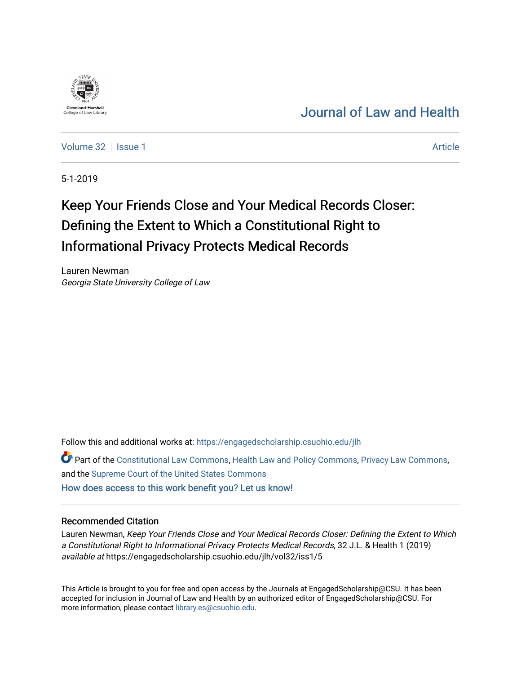## [Journal of Law and Health](https://engagedscholarship.csuohio.edu/jlh)

[Volume 32](https://engagedscholarship.csuohio.edu/jlh/vol32) | [Issue 1](https://engagedscholarship.csuohio.edu/jlh/vol32/iss1) Article

5-1-2019

# Keep Your Friends Close and Your Medical Records Closer: Defining the Extent to Which a Constitutional Right to Informational Privacy Protects Medical Records

Lauren Newman Georgia State University College of Law

Follow this and additional works at: [https://engagedscholarship.csuohio.edu/jlh](https://engagedscholarship.csuohio.edu/jlh?utm_source=engagedscholarship.csuohio.edu%2Fjlh%2Fvol32%2Fiss1%2F5&utm_medium=PDF&utm_campaign=PDFCoverPages) 

Part of the [Constitutional Law Commons,](http://network.bepress.com/hgg/discipline/589?utm_source=engagedscholarship.csuohio.edu%2Fjlh%2Fvol32%2Fiss1%2F5&utm_medium=PDF&utm_campaign=PDFCoverPages) [Health Law and Policy Commons](http://network.bepress.com/hgg/discipline/901?utm_source=engagedscholarship.csuohio.edu%2Fjlh%2Fvol32%2Fiss1%2F5&utm_medium=PDF&utm_campaign=PDFCoverPages), [Privacy Law Commons](http://network.bepress.com/hgg/discipline/1234?utm_source=engagedscholarship.csuohio.edu%2Fjlh%2Fvol32%2Fiss1%2F5&utm_medium=PDF&utm_campaign=PDFCoverPages), and the [Supreme Court of the United States Commons](http://network.bepress.com/hgg/discipline/1350?utm_source=engagedscholarship.csuohio.edu%2Fjlh%2Fvol32%2Fiss1%2F5&utm_medium=PDF&utm_campaign=PDFCoverPages) [How does access to this work benefit you? Let us know!](http://library.csuohio.edu/engaged/)

#### Recommended Citation

Lauren Newman, Keep Your Friends Close and Your Medical Records Closer: Defining the Extent to Which a Constitutional Right to Informational Privacy Protects Medical Records, 32 J.L. & Health 1 (2019) available at https://engagedscholarship.csuohio.edu/jlh/vol32/iss1/5

This Article is brought to you for free and open access by the Journals at EngagedScholarship@CSU. It has been accepted for inclusion in Journal of Law and Health by an authorized editor of EngagedScholarship@CSU. For more information, please contact [library.es@csuohio.edu](mailto:library.es@csuohio.edu).

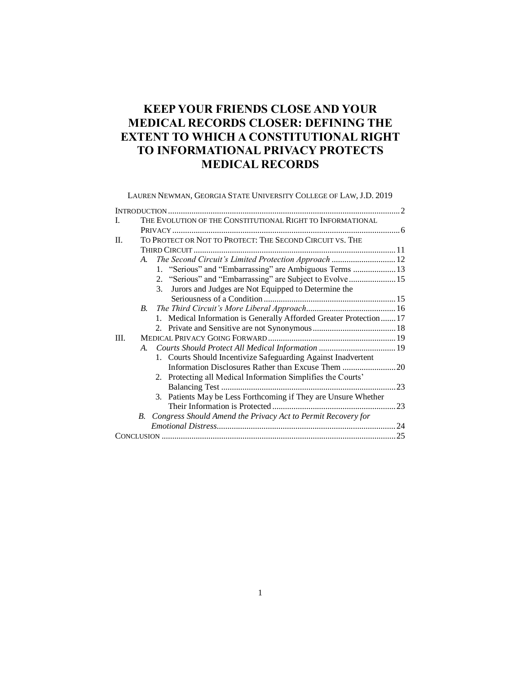### **KEEP YOUR FRIENDS CLOSE AND YOUR MEDICAL RECORDS CLOSER: DEFINING THE EXTENT TO WHICH A CONSTITUTIONAL RIGHT TO INFORMATIONAL PRIVACY PROTECTS MEDICAL RECORDS**

LAUREN NEWMAN, GEORGIA STATE UNIVERSITY COLLEGE OF LAW, J.D. 2019 INTRODUCTION .............................................................................................................2 I. THE EVOLUTION OF THE CONSTITUTIONAL RIGHT TO INFORMATIONAL PRIVACY ...........................................................................................................6 II. TO PROTECT OR NOT TO PROTECT: THE SECOND CIRCUIT VS. THE THIRD CIRCUIT ...............................................................................................11  *A. The Second Circuit's Limited Protection Approach ..............................*12 1. "Serious" and "Embarrassing" are Ambiguous Terms ....................13 2. "Serious" and "Embarrassing" are Subject to Evolve......................15 3. Jurors and Judges are Not Equipped to Determine the Seriousness of a Condition ..............................................................15  *B. The Third Circuit's More Liberal Approach..........................................*16 1. Medical Information is Generally Afforded Greater Protection.......17 2. Private and Sensitive are not Synonymous.......................................18 III. MEDICAL PRIVACY GOING FORWARD ............................................................19  *A. Courts Should Protect All Medical Information ....................................*19 1. Courts Should Incentivize Safeguarding Against Inadvertent Information Disclosures Rather than Excuse Them .........................20 2. Protecting all Medical Information Simplifies the Courts' Balancing Test ..................................................................................23 3. Patients May be Less Forthcoming if They are Unsure Whether Their Information is Protected ..........................................................23  *B. Congress Should Amend the Privacy Act to Permit Recovery for Emotional Distress....................................................................................*24 CONCLUSION ..............................................................................................................25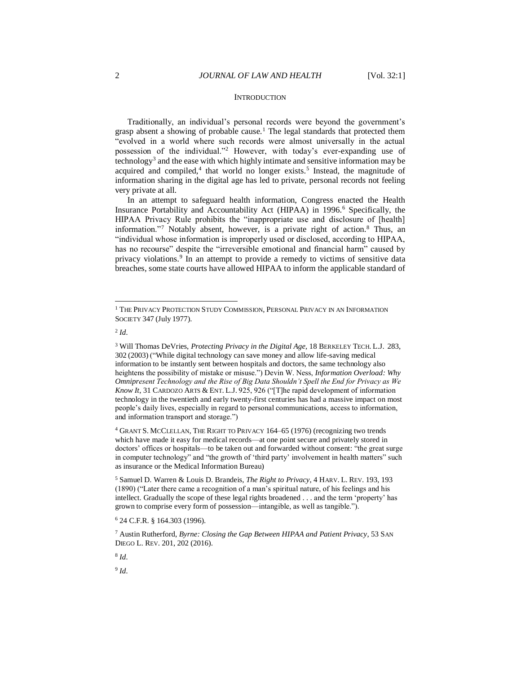#### <span id="page-2-0"></span>**INTRODUCTION**

<span id="page-2-1"></span>Traditionally, an individual's personal records were beyond the government's grasp absent a showing of probable cause.<sup>1</sup> The legal standards that protected them "evolved in a world where such records were almost universally in the actual possession of the individual."<sup>2</sup> However, with today's ever-expanding use of technology<sup>3</sup> and the ease with which highly intimate and sensitive information may be acquired and compiled,<sup>4</sup> that world no longer exists.<sup>5</sup> Instead, the magnitude of information sharing in the digital age has led to private, personal records not feeling very private at all.

In an attempt to safeguard health information, Congress enacted the Health Insurance Portability and Accountability Act (HIPAA) in 1996.<sup>6</sup> Specifically, the HIPAA Privacy Rule prohibits the "inappropriate use and disclosure of [health] information."<sup>7</sup> Notably absent, however, is a private right of action.<sup>8</sup> Thus, an "individual whose information is improperly used or disclosed, according to HIPAA, has no recourse" despite the "irreversible emotional and financial harm" caused by privacy violations.<sup>9</sup> In an attempt to provide a remedy to victims of sensitive data breaches, some state courts have allowed HIPAA to inform the applicable standard of

2 *Id.*

l

<sup>4</sup> GRANT S. MCCLELLAN, THE RIGHT TO PRIVACY 164–65 (1976) (recognizing two trends which have made it easy for medical records—at one point secure and privately stored in doctors' offices or hospitals—to be taken out and forwarded without consent: "the great surge in computer technology" and "the growth of 'third party' involvement in health matters" such as insurance or the Medical Information Bureau)

8 *Id.*

9 *Id.*

<sup>&</sup>lt;sup>1</sup> THE PRIVACY PROTECTION STUDY COMMISSION, PERSONAL PRIVACY IN AN INFORMATION SOCIETY 347 (July 1977).

<sup>3</sup> Will Thomas DeVries, *Protecting Privacy in the Digital Age,* 18 BERKELEY TECH. L.J. 283, 302 (2003) ("While digital technology can save money and allow life-saving medical information to be instantly sent between hospitals and doctors, the same technology also heightens the possibility of mistake or misuse.") Devin W. Ness, *Information Overload: Why Omnipresent Technology and the Rise of Big Data Shouldn't Spell the End for Privacy as We Know It*, 31 CARDOZO ARTS & ENT. L.J. 925, 926 ("[T]he rapid development of information technology in the twentieth and early twenty-first centuries has had a massive impact on most people's daily lives, especially in regard to personal communications, access to information, and information transport and storage.")

<sup>5</sup> Samuel D. Warren & Louis D. Brandeis, *The Right to Privacy*, 4 HARV. L. REV. 193, 193 (1890) ("Later there came a recognition of a man's spiritual nature, of his feelings and his intellect. Gradually the scope of these legal rights broadened . . . and the term 'property' has grown to comprise every form of possession—intangible, as well as tangible.").

<sup>6</sup> 24 C.F.R. § 164.303 (1996).

<sup>7</sup> Austin Rutherford, *Byrne: Closing the Gap Between HIPAA and Patient Privacy*, 53 SAN DIEGO L. REV. 201, 202 (2016).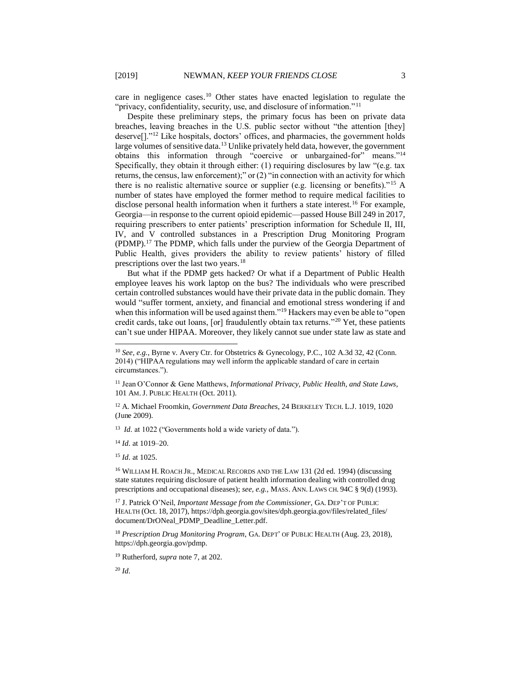care in negligence cases.<sup>10</sup> Other states have enacted legislation to regulate the "privacy, confidentiality, security, use, and disclosure of information."<sup>11</sup>

Despite these preliminary steps, the primary focus has been on private data breaches, leaving breaches in the U.S. public sector without "the attention [they] deserve<sup>[]."12</sup> Like hospitals, doctors' offices, and pharmacies, the government holds large volumes of sensitive data.<sup>13</sup> Unlike privately held data, however, the government obtains this information through "coercive or unbargained-for" means."<sup>14</sup> Specifically, they obtain it through either: (1) requiring disclosures by law "(e.g. tax returns, the census, law enforcement);" or (2) "in connection with an activity for which there is no realistic alternative source or supplier (e.g. licensing or benefits)."<sup>15</sup> A number of states have employed the former method to require medical facilities to disclose personal health information when it furthers a state interest.<sup>16</sup> For example, Georgia—in response to the current opioid epidemic—passed House Bill 249 in 2017, requiring prescribers to enter patients' prescription information for Schedule II, III, IV, and V controlled substances in a Prescription Drug Monitoring Program (PDMP).<sup>17</sup> The PDMP, which falls under the purview of the Georgia Department of Public Health, gives providers the ability to review patients' history of filled prescriptions over the last two years.<sup>18</sup>

But what if the PDMP gets hacked? Or what if a Department of Public Health employee leaves his work laptop on the bus? The individuals who were prescribed certain controlled substances would have their private data in the public domain. They would "suffer torment, anxiety, and financial and emotional stress wondering if and when this information will be used against them."<sup>19</sup> Hackers may even be able to "open" credit cards, take out loans, [or] fraudulently obtain tax returns."<sup>20</sup> Yet, these patients can't sue under HIPAA. Moreover, they likely cannot sue under state law as state and

<sup>12</sup> A. Michael Froomkin, *Government Data Breaches*, 24 BERKELEY TECH. L.J. 1019, 1020 (June 2009).

<sup>13</sup> *Id.* at 1022 ("Governments hold a wide variety of data.").

<sup>14</sup> *Id.* at 1019–20.

<sup>15</sup> *Id.* at 1025.

l

<sup>16</sup> WILLIAM H. ROACH JR., MEDICAL RECORDS AND THE LAW 131 (2d ed. 1994) (discussing state statutes requiring disclosure of patient health information dealing with controlled drug prescriptions and occupational diseases); *see, e.g.,* MASS. ANN. LAWS CH. 94C § 9(d) (1993).

<sup>17</sup> J. Patrick O'Neil, *Important Message from the Commissioner*, GA. DEP'T OF PUBLIC HEALTH (Oct. 18, 2017), https://dph.georgia.gov/sites/dph.georgia.gov/files/related\_files/ document/DrONeal\_PDMP\_Deadline\_Letter.pdf.

<sup>18</sup> *Prescription Drug Monitoring Program*, GA. DEPT' OF PUBLIC HEALTH (Aug. 23, 2018), https://dph.georgia.gov/pdmp.

<sup>19</sup> Rutherford, *supra* note 7, at 202.

<sup>20</sup> *Id.*

<sup>10</sup> *See, e.g.*, Byrne v. Avery Ctr. for Obstetrics & Gynecology, P.C., 102 A.3d 32, 42 (Conn. 2014) ("HIPAA regulations may well inform the applicable standard of care in certain circumstances.").

<sup>11</sup> Jean O'Connor & Gene Matthews, *Informational Privacy, Public Health, and State Laws*, 101 AM.J. PUBLIC HEALTH (Oct. 2011).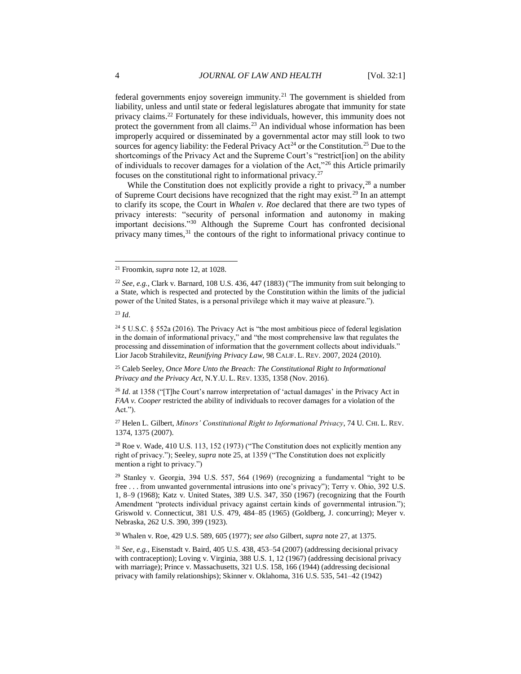federal governments enjoy sovereign immunity.<sup>21</sup> The government is shielded from liability, unless and until state or federal legislatures abrogate that immunity for state privacy claims.<sup>22</sup> Fortunately for these individuals, however, this immunity does not protect the government from all claims.<sup>23</sup> An individual whose information has been improperly acquired or disseminated by a governmental actor may still look to two sources for agency liability: the Federal Privacy  $Act^{24}$  or the Constitution.<sup>25</sup> Due to the shortcomings of the Privacy Act and the Supreme Court's "restrict[ion] on the ability of individuals to recover damages for a violation of the Act,"<sup>26</sup> this Article primarily focuses on the constitutional right to informational privacy.<sup>27</sup>

<span id="page-4-1"></span><span id="page-4-0"></span>While the Constitution does not explicitly provide a right to privacy,  $^{28}$  a number of Supreme Court decisions have recognized that the right may exist.<sup>29</sup> In an attempt to clarify its scope, the Court in *Whalen v. Roe* declared that there are two types of privacy interests: "security of personal information and autonomy in making important decisions."<sup>30</sup> Although the Supreme Court has confronted decisional privacy many times,<sup>31</sup> the contours of the right to informational privacy continue to

l

<sup>25</sup> Caleb Seeley, *Once More Unto the Breach: The Constitutional Right to Informational Privacy and the Privacy Act*, N.Y.U. L. REV. 1335, 1358 (Nov. 2016).

<sup>26</sup> *Id.* at 1358 ("The Court's narrow interpretation of 'actual damages' in the Privacy Act in *FAA v. Cooper* restricted the ability of individuals to recover damages for a violation of the Act.").

<sup>27</sup> Helen L. Gilbert, *Minors' Constitutional Right to Informational Privacy*, 74 U. CHI. L. REV. 1374, 1375 (2007).

 $28$  Roe v. Wade, 410 U.S. 113, 152 (1973) ("The Constitution does not explicitly mention any right of privacy."); Seeley, *supra* note [25,](#page-4-0) at 1359 ("The Constitution does not explicitly mention a right to privacy.")

<sup>29</sup> Stanley v. Georgia, 394 U.S. 557, 564 (1969) (recognizing a fundamental "right to be free . . . from unwanted governmental intrusions into one's privacy"); Terry v. Ohio, 392 U.S. 1, 8–9 (1968); Katz v. United States, 389 U.S. 347, 350 (1967) (recognizing that the Fourth Amendment "protects individual privacy against certain kinds of governmental intrusion."); Griswold v. Connecticut, 381 U.S. 479, 484–85 (1965) (Goldberg, J. concurring); Meyer v. Nebraska, 262 U.S. 390, 399 (1923).

<sup>30</sup> Whalen v. Roe, 429 U.S. 589, 605 (1977); *see also* Gilbert, *supra* note [27,](#page-4-1) at 1375.

<sup>31</sup> *See, e.g.*, Eisenstadt v. Baird, 405 U.S. 438, 453–54 (2007) (addressing decisional privacy with contraception); Loving v. Virginia, 388 U.S. 1, 12 (1967) (addressing decisional privacy with marriage); Prince v. Massachusetts, 321 U.S. 158, 166 (1944) (addressing decisional privacy with family relationships); Skinner v. Oklahoma, 316 U.S. 535, 541–42 (1942)

<sup>21</sup> Froomkin, *supra* note 12, at 1028.

<sup>22</sup> *See, e.g.*, Clark v. Barnard, 108 U.S. 436, 447 (1883) ("The immunity from suit belonging to a State, which is respected and protected by the Constitution within the limits of the judicial power of the United States, is a personal privilege which it may waive at pleasure.").

<sup>23</sup> *Id.*

<sup>&</sup>lt;sup>24</sup> 5 U.S.C. § 552a (2016). The Privacy Act is "the most ambitious piece of federal legislation in the domain of informational privacy," and "the most comprehensive law that regulates the processing and dissemination of information that the government collects about individuals." Lior Jacob Strahilevitz, *Reunifying Privacy Law,* 98 CALIF. L. REV. 2007, 2024 (2010).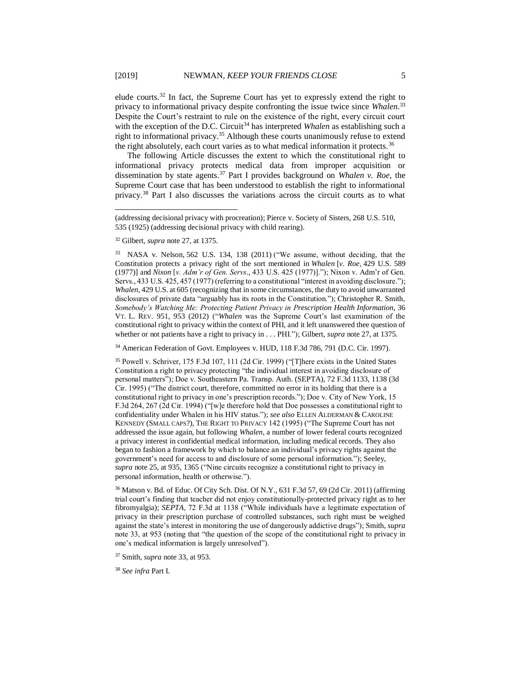elude courts.<sup>32</sup> In fact, the Supreme Court has yet to expressly extend the right to privacy to informational privacy despite confronting the issue twice since *Whalen*. 33 Despite the Court's restraint to rule on the existence of the right, every circuit court with the exception of the D.C. Circuit<sup>34</sup> has interpreted *Whalen* as establishing such a right to informational privacy.<sup>35</sup> Although these courts unanimously refuse to extend the right absolutely, each court varies as to what medical information it protects.<sup>36</sup>

<span id="page-5-0"></span>The following Article discusses the extent to which the constitutional right to informational privacy protects medical data from improper acquisition or dissemination by state agents.<sup>37</sup> Part I provides background on *Whalen v. Roe*, the Supreme Court case that has been understood to establish the right to informational privacy.<sup>38</sup> Part I also discusses the variations across the circuit courts as to what

<sup>34</sup> American Federation of Govt. Employees v. HUD, 118 F.3d 786, 791 (D.C. Cir. 1997).

<sup>35</sup> Powell v. Schriver, 175 F.3d 107, 111 (2d Cir. 1999) ("[T]here exists in the United States Constitution a right to privacy protecting "the individual interest in avoiding disclosure of personal matters"); Doe v. Southeastern Pa. Transp. Auth. (SEPTA), 72 F.3d 1133, 1138 (3d Cir. 1995) ("The district court, therefore, committed no error in its holding that there is a constitutional right to privacy in one's prescription records."); Doe v. City of New York, 15 F.3d 264, 267 (2d Cir. 1994) ("[w]e therefore hold that Doe possesses a constitutional right to confidentiality under Whalen in his HIV status."); *see also* ELLEN ALDERMAN & CAROLINE KENNEDY (SMALL CAPS?), THE RIGHT TO PRIVACY 142 (1995) ("The Supreme Court has not addressed the issue again, but following *Whalen*, a number of lower federal courts recognized a privacy interest in confidential medical information, including medical records. They also began to fashion a framework by which to balance an individual's privacy rights against the government's need for access to and disclosure of some personal information."); Seeley, *supra* note 25, at 935, 1365 ("Nine circuits recognize a constitutional right to privacy in personal information, health or otherwise.").

<sup>36</sup> Matson v. Bd. of Educ. Of City Sch. Dist. Of N.Y.*,* 631 F.3d 57, 69 (2d Cir. 2011) (affirming trial court's finding that teacher did not enjoy constitutionally-protected privacy right as to her fibromyalgia); *SEPTA*, 72 F.3d at 1138 ("While individuals have a legitimate expectation of privacy in their prescription purchase of controlled substances, such right must be weighed against the state's interest in monitoring the use of dangerously addictive drugs"); Smith, *supra*  note 33, at 953 (noting that "the question of the scope of the constitutional right to privacy in one's medical information is largely unresolved").

<sup>37</sup> Smith, *supra* note 33, at 953.

<sup>38</sup> *See infra* Part I.

<sup>(</sup>addressing decisional privacy with procreation); Pierce v. Society of Sisters, 268 U.S. 510, 535 (1925) (addressing decisional privacy with child rearing).

<sup>32</sup> Gilbert, *supra* note [27,](#page-4-1) at 1375.

<sup>33</sup> NASA v. Nelson, 562 U.S. 134, 138 (2011) ("We assume, without deciding, that the Constitution protects a privacy right of the sort mentioned in *Whalen* [*v. Roe*, 429 U.S. 589 (1977)] and *Nixon* [*v. Adm'r of Gen. Servs*., 433 U.S. 425 (1977)]."); Nixon v. Adm'r of Gen. Servs., 433 U.S. 425, 457 (1977) (referring to a constitutional "interest in avoiding disclosure."); *Whalen*, 429 U.S. at 605 (recognizing that in some circumstances, the duty to avoid unwarranted disclosures of private data "arguably has its roots in the Constitution."); Christopher R. Smith, *Somebody's Watching Me: Protecting Patient Privacy in Prescription Health Information*, 36 VT. L. REV. 951, 953 (2012) ("*Whalen* was the Supreme Court's last examination of the constitutional right to privacy within the context of PHI, and it left unanswered thee question of whether or not patients have a right to privacy in . . . PHI."); Gilbert, *supra* note [27,](#page-4-1) at 1375.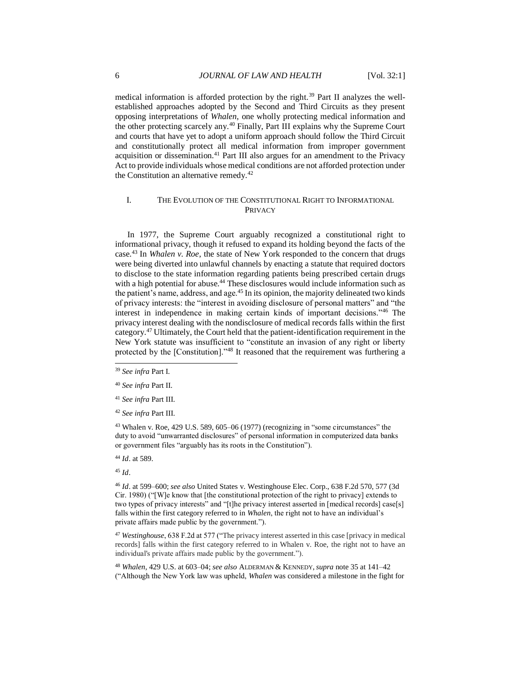medical information is afforded protection by the right.<sup>39</sup> Part II analyzes the wellestablished approaches adopted by the Second and Third Circuits as they present opposing interpretations of *Whalen*, one wholly protecting medical information and the other protecting scarcely any.<sup>40</sup> Finally, Part III explains why the Supreme Court and courts that have yet to adopt a uniform approach should follow the Third Circuit and constitutionally protect all medical information from improper government acquisition or dissemination.<sup>41</sup> Part III also argues for an amendment to the Privacy Act to provide individuals whose medical conditions are not afforded protection under the Constitution an alternative remedy.<sup>42</sup>

#### I. THE EVOLUTION OF THE CONSTITUTIONAL RIGHT TO INFORMATIONAL PRIVACY

In 1977, the Supreme Court arguably recognized a constitutional right to informational privacy, though it refused to expand its holding beyond the facts of the case.<sup>43</sup> In *Whalen v. Roe*, the state of New York responded to the concern that drugs were being diverted into unlawful channels by enacting a statute that required doctors to disclose to the state information regarding patients being prescribed certain drugs with a high potential for abuse.<sup>44</sup> These disclosures would include information such as the patient's name, address, and age.<sup>45</sup> In its opinion, the majority delineated two kinds of privacy interests: the "interest in avoiding disclosure of personal matters" and "the interest in independence in making certain kinds of important decisions."<sup>46</sup> The privacy interest dealing with the nondisclosure of medical records falls within the first category.<sup>47</sup> Ultimately, the Court held that the patient-identification requirement in the New York statute was insufficient to "constitute an invasion of any right or liberty protected by the [Constitution]."<sup>48</sup> It reasoned that the requirement was furthering a

<sup>43</sup> Whalen v. Roe, 429 U.S. 589, 605–06 (1977) (recognizing in "some circumstances" the duty to avoid "unwarranted disclosures" of personal information in computerized data banks or government files "arguably has its roots in the Constitution").

<sup>44</sup> *Id*. at 589.

<sup>45</sup> *Id*.

l

<sup>46</sup> *Id*. at 599–600; *see also* United States v. Westinghouse Elec. Corp., 638 F.2d 570, 577 (3d Cir. 1980) ("[W]e know that [the constitutional protection of the right to privacy] extends to two types of privacy interests" and "[t]he privacy interest asserted in [medical records] case[s] falls within the first category referred to in *Whalen*, the right not to have an individual's private affairs made public by the government.").

<sup>47</sup> *Westinghouse*, 638 F.2d at 577 ("The privacy interest asserted in this case [privacy in medical records] falls within the first category referred to in Whalen v. Roe, the right not to have an individual's private affairs made public by the government.").

<sup>48</sup> *Whalen*, 429 U.S. at 603–04; *see also* ALDERMAN & KENNEDY,*supra* note [35](#page-5-0) at 141–42 ("Although the New York law was upheld, *Whalen* was considered a milestone in the fight for

<sup>39</sup> *See infra* Part I.

<sup>40</sup> *See infra* Part II.

<sup>41</sup> *See infra* Part III.

<sup>42</sup> *See infra* Part III.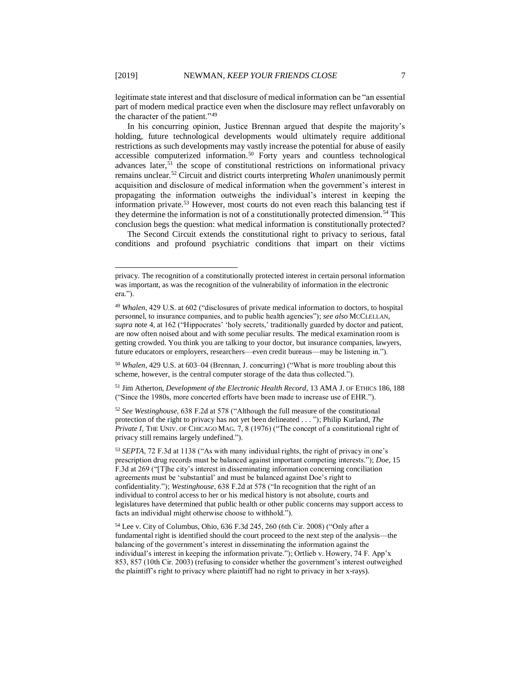legitimate state interest and that disclosure of medical information can be "an essential part of modern medical practice even when the disclosure may reflect unfavorably on the character of the patient."<sup>49</sup>

In his concurring opinion, Justice Brennan argued that despite the majority's holding, future technological developments would ultimately require additional restrictions as such developments may vastly increase the potential for abuse of easily accessible computerized information.<sup>50</sup> Forty years and countless technological advances later, $51$  the scope of constitutional restrictions on informational privacy remains unclear.<sup>52</sup> Circuit and district courts interpreting *Whalen* unanimously permit acquisition and disclosure of medical information when the government's interest in propagating the information outweighs the individual's interest in keeping the information private.<sup>53</sup> However, most courts do not even reach this balancing test if they determine the information is not of a constitutionally protected dimension.<sup>54</sup> This conclusion begs the question: what medical information is constitutionally protected?

The Second Circuit extends the constitutional right to privacy to serious, fatal conditions and profound psychiatric conditions that impart on their victims

<sup>50</sup> *Whalen*, 429 U.S. at 603–04 (Brennan, J. concurring) ("What is more troubling about this scheme, however, is the central computer storage of the data thus collected.").

<sup>51</sup> Jim Atherton, *Development of the Electronic Health Record*, 13 AMA J. OF ETHICS 186, 188 ("Since the 1980s, more concerted efforts have been made to increase use of EHR.").

<sup>52</sup> *See Westinghouse*, 638 F.2d at 578 ("Although the full measure of the constitutional protection of the right to privacy has not yet been delineated . . . "); Philip Kurland, *The Private I*, THE UNIV. OF CHICAGO MAG. 7, 8 (1976) ("The concept of a constitutional right of privacy still remains largely undefined.").

<sup>53</sup> *SEPTA*, 72 F.3d at 1138 ("As with many individual rights, the right of privacy in one's prescription drug records must be balanced against important competing interests."); *Doe*, 15 F.3d at 269 ("[T]he city's interest in disseminating information concerning conciliation agreements must be 'substantial' and must be balanced against Doe's right to confidentiality."); *Westinghouse*, 638 F.2d at 578 ("In recognition that the right of an individual to control access to her or his medical history is not absolute, courts and legislatures have determined that public health or other public concerns may support access to facts an individual might otherwise choose to withhold.").

<sup>54</sup> Lee v. City of Columbus, Ohio, 636 F.3d 245, 260 (6th Cir. 2008) ("Only after a fundamental right is identified should the court proceed to the next step of the analysis—the balancing of the government's interest in disseminating the information against the individual's interest in keeping the information private."); Ortlieb v. Howery, 74 F. App'x 853, 857 (10th Cir. 2003) (refusing to consider whether the government's interest outweighed the plaintiff's right to privacy where plaintiff had no right to privacy in her x-rays).

privacy. The recognition of a constitutionally protected interest in certain personal information was important, as was the recognition of the vulnerability of information in the electronic era.").

<sup>49</sup> *Whalen*, 429 U.S. at 602 ("disclosures of private medical information to doctors, to hospital personnel, to insurance companies, and to public health agencies"); *see also* MCCLELLAN, *supra* note [4,](#page-2-0) at 162 ("Hippocrates' 'holy secrets,' traditionally guarded by doctor and patient, are now often noised about and with some peculiar results. The medical examination room is getting crowded. You think you are talking to your doctor, but insurance companies, lawyers, future educators or employers, researchers—even credit bureaus—may be listening in.").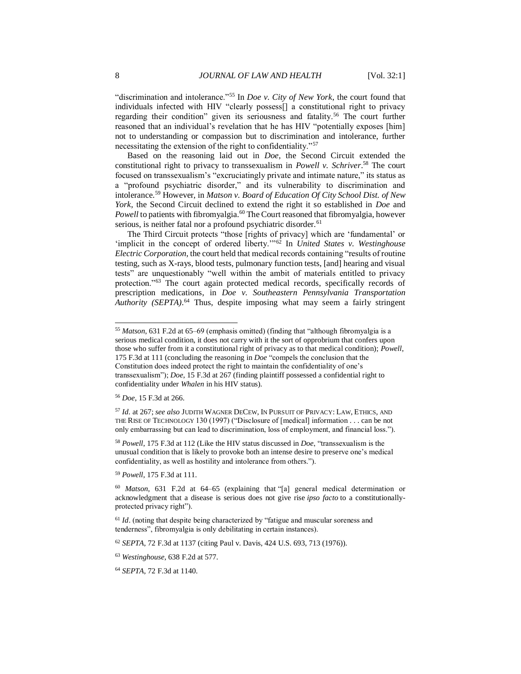"discrimination and intolerance."<sup>55</sup> In *Doe v. City of New York*, the court found that individuals infected with HIV "clearly possess[] a constitutional right to privacy regarding their condition" given its seriousness and fatality.<sup>56</sup> The court further reasoned that an individual's revelation that he has HIV "potentially exposes [him] not to understanding or compassion but to discrimination and intolerance, further necessitating the extension of the right to confidentiality."<sup>57</sup>

Based on the reasoning laid out in *Doe*, the Second Circuit extended the constitutional right to privacy to transsexualism in *Powell v. Schriver*. <sup>58</sup> The court focused on transsexualism's "excruciatingly private and intimate nature," its status as a "profound psychiatric disorder," and its vulnerability to discrimination and intolerance.<sup>59</sup> However, in *Matson v. Board of Education Of City School Dist. of New York*, the Second Circuit declined to extend the right it so established in *Doe* and *Powell* to patients with fibromyalgia.<sup>60</sup> The Court reasoned that fibromyalgia, however serious, is neither fatal nor a profound psychiatric disorder.<sup>61</sup>

The Third Circuit protects "those [rights of privacy] which are 'fundamental' or 'implicit in the concept of ordered liberty.'"<sup>62</sup> In *United States v. Westinghouse Electric Corporation*, the court held that medical records containing "results of routine testing, such as X-rays, blood tests, pulmonary function tests, [and] hearing and visual tests" are unquestionably "well within the ambit of materials entitled to privacy protection."<sup>63</sup> The court again protected medical records, specifically records of prescription medications, in *Doe v. Southeastern Pennsylvania Transportation Authority (SEPTA)*. <sup>64</sup> Thus, despite imposing what may seem a fairly stringent

l

<sup>58</sup> *Powell*, 175 F.3d at 112 (Like the HIV status discussed in *Doe*, "transsexualism is the unusual condition that is likely to provoke both an intense desire to preserve one's medical confidentiality, as well as hostility and intolerance from others.").

<sup>59</sup> *Powell*, 175 F.3d at 111.

<sup>55</sup> *Matson*, 631 F.2d at 65–69 (emphasis omitted) (finding that "although fibromyalgia is a serious medical condition, it does not carry with it the sort of opprobrium that confers upon those who suffer from it a constitutional right of privacy as to that medical condition); *Powell*, 175 F.3d at 111 (concluding the reasoning in *Doe* "compels the conclusion that the Constitution does indeed protect the right to maintain the confidentiality of one's transsexualism"); *Doe*, 15 F.3d at 267 (finding plaintiff possessed a confidential right to confidentiality under *Whalen* in his HIV status).

<sup>56</sup> *Doe*, 15 F.3d at 266.

<sup>57</sup> *Id.* at 267; *see also* JUDITH WAGNER DECEW, IN PURSUIT OF PRIVACY: LAW, ETHICS, AND THE RISE OF TECHNOLOGY 130 (1997) ("Disclosure of [medical] information . . . can be not only embarrassing but can lead to discrimination, loss of employment, and financial loss.").

<sup>60</sup> *Matson*, 631 F.2d at 64–65 (explaining that "[a] general medical determination or acknowledgment that a disease is serious does not give rise *ipso facto* to a constitutionallyprotected privacy right").

<sup>&</sup>lt;sup>61</sup> *Id*. (noting that despite being characterized by "fatigue and muscular soreness and tenderness", fibromyalgia is only debilitating in certain instances).

<sup>62</sup> *SEPTA*, 72 F.3d at 1137 (citing Paul v. Davis, 424 U.S. 693, 713 (1976)).

<sup>63</sup> *Westinghouse*, 638 F.2d at 577.

<sup>64</sup> *SEPTA*, 72 F.3d at 1140.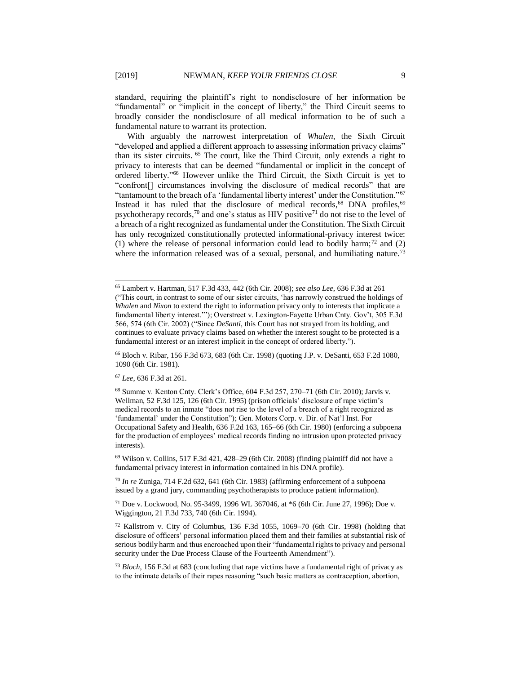standard, requiring the plaintiff's right to nondisclosure of her information be "fundamental" or "implicit in the concept of liberty," the Third Circuit seems to broadly consider the nondisclosure of all medical information to be of such a fundamental nature to warrant its protection.

With arguably the narrowest interpretation of *Whalen*, the Sixth Circuit "developed and applied a different approach to assessing information privacy claims" than its sister circuits. <sup>65</sup> The court, like the Third Circuit, only extends a right to privacy to interests that can be deemed "fundamental or implicit in the concept of ordered liberty." <sup>66</sup> However unlike the Third Circuit, the Sixth Circuit is yet to "confront[] circumstances involving the disclosure of medical records" that are "tantamount to the breach of a 'fundamental liberty interest' under the Constitution."<sup>67</sup> Instead it has ruled that the disclosure of medical records, $68$  DNA profiles,  $69$ psychotherapy records,<sup>70</sup> and one's status as HIV positive<sup>71</sup> do not rise to the level of a breach of a right recognized as fundamental under the Constitution. The Sixth Circuit has only recognized constitutionally protected informational-privacy interest twice: (1) where the release of personal information could lead to bodily harm;<sup>72</sup> and (2) where the information released was of a sexual, personal, and humiliating nature.<sup>73</sup>

<sup>67</sup> *Lee*, 636 F.3d at 261.

 $69$  Wilson v. Collins, 517 F.3d 421, 428–29 (6th Cir. 2008) (finding plaintiff did not have a fundamental privacy interest in information contained in his DNA profile).

<sup>70</sup> *In re* Zuniga, 714 F.2d 632, 641 (6th Cir. 1983) (affirming enforcement of a subpoena issued by a grand jury, commanding psychotherapists to produce patient information).

<sup>71</sup> Doe v. Lockwood, No. 95-3499, 1996 WL 367046, at \*6 (6th Cir. June 27, 1996); Doe v. Wiggington, 21 F.3d 733, 740 (6th Cir. 1994).

<sup>65</sup> Lambert v. Hartman, 517 F.3d 433, 442 (6th Cir. 2008); *see also Lee*, 636 F.3d at 261 ("This court, in contrast to some of our sister circuits, 'has narrowly construed the holdings of *Whalen* and *Nixon* to extend the right to information privacy only to interests that implicate a fundamental liberty interest.'"); Overstreet v. Lexington-Fayette Urban Cnty. Gov't, 305 F.3d 566, 574 (6th Cir. 2002) ("Since *DeSanti*, this Court has not strayed from its holding, and continues to evaluate privacy claims based on whether the interest sought to be protected is a fundamental interest or an interest implicit in the concept of ordered liberty.").

<sup>66</sup> Bloch v. Ribar, 156 F.3d 673, 683 (6th Cir. 1998) (quoting J.P. v. DeSanti, 653 F.2d 1080, 1090 (6th Cir. 1981).

<sup>68</sup> Summe v. Kenton Cnty. Clerk's Office, 604 F.3d 257, 270–71 (6th Cir. 2010); Jarvis v. Wellman, 52 F.3d 125, 126 (6th Cir. 1995) (prison officials' disclosure of rape victim's medical records to an inmate "does not rise to the level of a breach of a right recognized as 'fundamental' under the Constitution"); Gen. Motors Corp. v. Dir. of Nat'l Inst. For Occupational Safety and Health, 636 F.2d 163, 165–66 (6th Cir. 1980) (enforcing a subpoena for the production of employees' medical records finding no intrusion upon protected privacy interests).

 $72$  Kallstrom v. City of Columbus, 136 F.3d 1055, 1069–70 (6th Cir. 1998) (holding that disclosure of officers' personal information placed them and their families at substantial risk of serious bodily harm and thus encroached upon their "fundamental rights to privacy and personal security under the Due Process Clause of the Fourteenth Amendment").

<sup>73</sup> *Bloch*, 156 F.3d at 683 (concluding that rape victims have a fundamental right of privacy as to the intimate details of their rapes reasoning "such basic matters as contraception, abortion,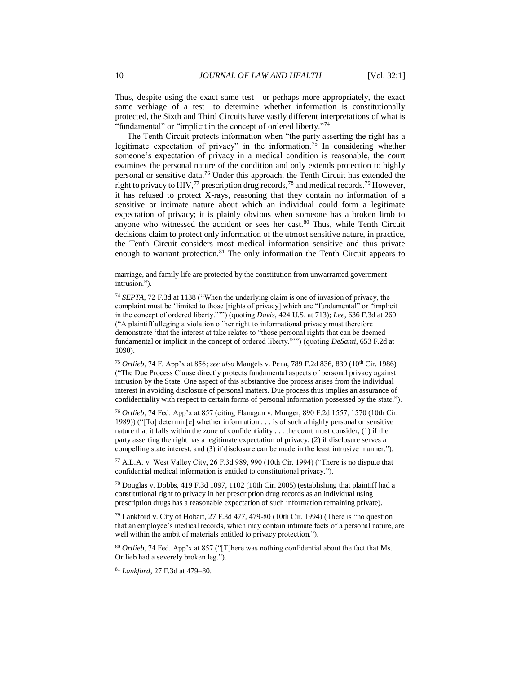Thus, despite using the exact same test—or perhaps more appropriately, the exact same verbiage of a test—to determine whether information is constitutionally protected, the Sixth and Third Circuits have vastly different interpretations of what is "fundamental" or "implicit in the concept of ordered liberty."<sup>74</sup>

The Tenth Circuit protects information when "the party asserting the right has a legitimate expectation of privacy" in the information.<sup>75</sup> In considering whether someone's expectation of privacy in a medical condition is reasonable, the court examines the personal nature of the condition and only extends protection to highly personal or sensitive data.<sup>76</sup> Under this approach, the Tenth Circuit has extended the right to privacy to HIV,  $^{77}$  prescription drug records,  $^{78}$  and medical records.  $^{79}$  However, it has refused to protect X-rays, reasoning that they contain no information of a sensitive or intimate nature about which an individual could form a legitimate expectation of privacy; it is plainly obvious when someone has a broken limb to anyone who witnessed the accident or sees her cast.<sup>80</sup> Thus, while Tenth Circuit decisions claim to protect only information of the utmost sensitive nature, in practice, the Tenth Circuit considers most medical information sensitive and thus private enough to warrant protection.<sup>81</sup> The only information the Tenth Circuit appears to

<sup>75</sup> *Ortlieb*, 74 F. App'x at 856; *see also* Mangels v. Pena, 789 F.2d 836, 839 (10th Cir. 1986) ("The Due Process Clause directly protects fundamental aspects of personal privacy against intrusion by the State. One aspect of this substantive due process arises from the individual interest in avoiding disclosure of personal matters. Due process thus implies an assurance of confidentiality with respect to certain forms of personal information possessed by the state.").

<sup>76</sup> *Ortlieb*, 74 Fed. App'x at 857 (citing Flanagan v. Munger, 890 F.2d 1557, 1570 (10th Cir. 1989)) ("[To] determin[e] whether information . . . is of such a highly personal or sensitive nature that it falls within the zone of confidentiality . . . the court must consider, (1) if the party asserting the right has a legitimate expectation of privacy, (2) if disclosure serves a compelling state interest, and (3) if disclosure can be made in the least intrusive manner.").

<sup>77</sup> A.L.A. v. West Valley City, 26 F.3d 989, 990 (10th Cir. 1994) ("There is no dispute that confidential medical information is entitled to constitutional privacy.").

<sup>78</sup> Douglas v. Dobbs, 419 F.3d 1097, 1102 (10th Cir. 2005) (establishing that plaintiff had a constitutional right to privacy in her prescription drug records as an individual using prescription drugs has a reasonable expectation of such information remaining private).

<sup>79</sup> Lankford v. City of Hobart, 27 F.3d 477, 479-80 (10th Cir. 1994) (There is "no question that an employee's medical records, which may contain intimate facts of a personal nature, are well within the ambit of materials entitled to privacy protection.").

<sup>80</sup> *Ortlieb*, 74 Fed. App'x at 857 ("[T]here was nothing confidential about the fact that Ms. Ortlieb had a severely broken leg.").

<sup>81</sup> *Lankford*, 27 F.3d at 479–80.

marriage, and family life are protected by the constitution from unwarranted government intrusion.").

<sup>74</sup> *SEPTA*, 72 F.3d at 1138 ("When the underlying claim is one of invasion of privacy, the complaint must be 'limited to those [rights of privacy] which are "fundamental" or "implicit in the concept of ordered liberty."'") (quoting *Davis*, 424 U.S. at 713); *Lee*, 636 F.3d at 260 ("A plaintiff alleging a violation of her right to informational privacy must therefore demonstrate 'that the interest at take relates to "those personal rights that can be deemed fundamental or implicit in the concept of ordered liberty."'") (quoting *DeSanti*, 653 F.2d at 1090).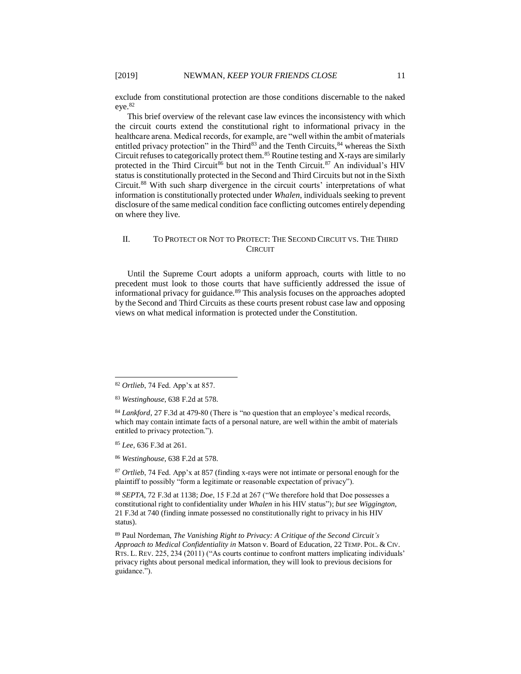exclude from constitutional protection are those conditions discernable to the naked eye.<sup>82</sup>

This brief overview of the relevant case law evinces the inconsistency with which the circuit courts extend the constitutional right to informational privacy in the healthcare arena. Medical records, for example, are "well within the ambit of materials entitled privacy protection" in the Third<sup>83</sup> and the Tenth Circuits,  $84$  whereas the Sixth Circuit refuses to categorically protect them.<sup>85</sup> Routine testing and X-rays are similarly protected in the Third Circuit<sup>86</sup> but not in the Tenth Circuit.<sup>87</sup> An individual's HIV status is constitutionally protected in the Second and Third Circuits but not in the Sixth Circuit.<sup>88</sup> With such sharp divergence in the circuit courts' interpretations of what information is constitutionally protected under *Whalen*, individuals seeking to prevent disclosure of the same medical condition face conflicting outcomes entirely depending on where they live.

#### II. TO PROTECT OR NOT TO PROTECT: THE SECOND CIRCUIT VS. THE THIRD **CIRCUIT**

Until the Supreme Court adopts a uniform approach, courts with little to no precedent must look to those courts that have sufficiently addressed the issue of informational privacy for guidance.<sup>89</sup> This analysis focuses on the approaches adopted by the Second and Third Circuits as these courts present robust case law and opposing views on what medical information is protected under the Constitution.

<sup>85</sup> *Lee*, 636 F.3d at 261.

l

<sup>86</sup> *Westinghouse*, 638 F.2d at 578.

<sup>87</sup> *Ortlieb*, 74 Fed. App'x at 857 (finding x-rays were not intimate or personal enough for the plaintiff to possibly "form a legitimate or reasonable expectation of privacy").

<sup>88</sup> *SEPTA*, 72 F.3d at 1138; *Doe*, 15 F.2d at 267 ("We therefore hold that Doe possesses a constitutional right to confidentiality under *Whalen* in his HIV status"); *but see Wiggington*, 21 F.3d at 740 (finding inmate possessed no constitutionally right to privacy in his HIV status).

<sup>89</sup> Paul Nordeman, *The Vanishing Right to Privacy: A Critique of the Second Circuit's Approach to Medical Confidentiality in* Matson v. Board of Education, 22 TEMP. POL. & CIV. RTS. L. REV. 225, 234 (2011) ("As courts continue to confront matters implicating individuals' privacy rights about personal medical information, they will look to previous decisions for guidance.").

<sup>82</sup> *Ortlieb*, 74 Fed. App'x at 857.

<sup>83</sup> *Westinghouse*, 638 F.2d at 578.

<sup>84</sup> *Lankford*, 27 F.3d at 479-80 (There is "no question that an employee's medical records, which may contain intimate facts of a personal nature, are well within the ambit of materials entitled to privacy protection.").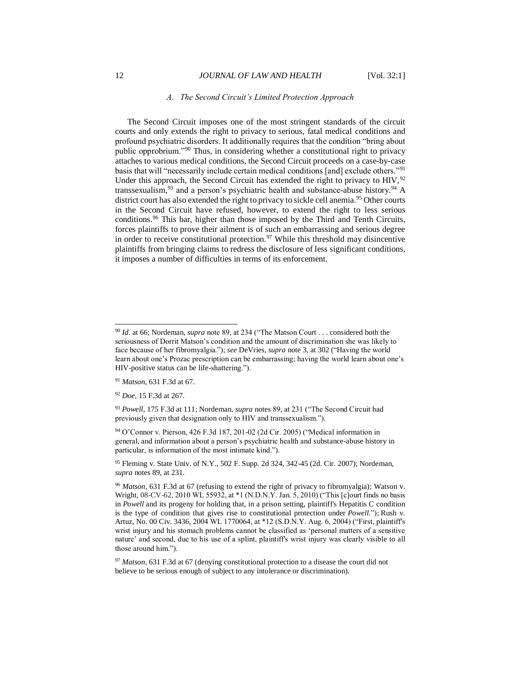#### *A. The Second Circuit's Limited Protection Approach*

The Second Circuit imposes one of the most stringent standards of the circuit courts and only extends the right to privacy to serious, fatal medical conditions and profound psychiatric disorders. It additionally requires that the condition "bring about public opprobrium."<sup>90</sup> Thus, in considering whether a constitutional right to privacy attaches to various medical conditions, the Second Circuit proceeds on a case-by-case basis that will "necessarily include certain medical conditions [and] exclude others."<sup>91</sup> Under this approach, the Second Circuit has extended the right to privacy to HIV, 92 transsexualism,<sup>93</sup> and a person's psychiatric health and substance-abuse history.<sup>94</sup> A district court has also extended the right to privacy to sickle cell anemia.<sup>95</sup> Other courts in the Second Circuit have refused, however, to extend the right to less serious conditions.<sup>96</sup> This bar, higher than those imposed by the Third and Tenth Circuits, forces plaintiffs to prove their ailment is of such an embarrassing and serious degree in order to receive constitutional protection.<sup>97</sup> While this threshold may disincentive plaintiffs from bringing claims to redress the disclosure of less significant conditions, it imposes a number of difficulties in terms of its enforcement.

<sup>91</sup> *Matson,* 631 F.3d at 67.

<sup>92</sup> *Doe*, 15 F.3d at 267.

l

<sup>94</sup> O'Connor v. Pierson, 426 F.3d 187, 201-02 (2d Cir. 2005) ("Medical information in general, and information about a person's psychiatric health and substance-abuse history in particular, is information of the most intimate kind.").

<sup>90</sup> *Id.* at 66; Nordeman, *supra* note 89, at 234 ("The Matson Court . . . considered both the seriousness of Dorrit Matson's condition and the amount of discrimination she was likely to face because of her fibromyalgia."); *see* DeVries, *supra* note [3,](#page-2-1) at 302 ("Having the world learn about one's Prozac prescription can be embarrassing; having the world learn about one's HIV-positive status can be life-shattering.").

<sup>93</sup> *Powell*, 175 F.3d at 111; Nordeman, *supra* notes 89, at 231 ("The Second Circuit had previously given that designation only to HIV and transsexualism.").

<sup>95</sup> Fleming v. State Univ. of N.Y., 502 F. Supp. 2d 324, 342-45 (2d. Cir. 2007); Nordeman, *supra* notes 89, at 231.

<sup>96</sup> *Matson,* 631 F.3d at 67 (refusing to extend the right of privacy to fibromyalgia); Watson v. Wright*,* 08-CV-62, 2010 WL 55932, at \*1 (N.D.N.Y. Jan. 5, 2010) ("This [c]ourt finds no basis in *Powell* and its progeny for holding that, in a prison setting, plaintiff's Hepatitis C condition is the type of condition that gives rise to constitutional protection under *Powell*."); Rush v. Artuz*,* No. 00 Civ. 3436, 2004 WL 1770064, at \*12 (S.D.N.Y. Aug. 6, 2004) ("First, plaintiff's wrist injury and his stomach problems cannot be classified as 'personal matters of a sensitive nature' and second, due to his use of a splint, plaintiff's wrist injury was clearly visible to all those around him.").

<sup>&</sup>lt;sup>97</sup> *Matson*, 631 F.3d at 67 (denying constitutional protection to a disease the court did not believe to be serious enough of subject to any intolerance or discrimination).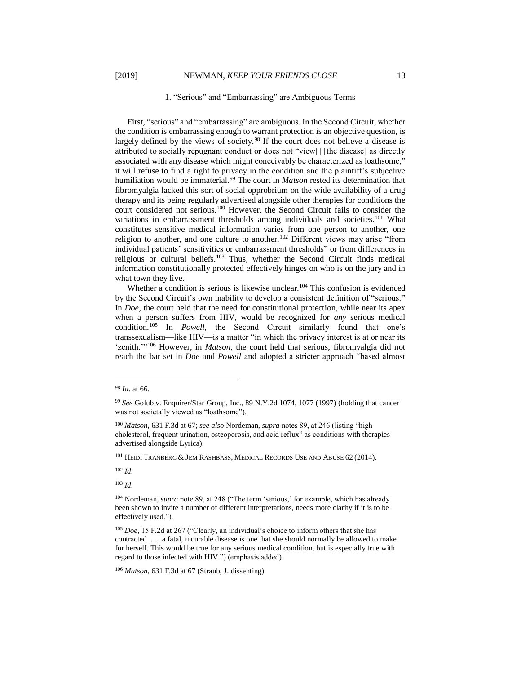#### 1. "Serious" and "Embarrassing" are Ambiguous Terms

First, "serious" and "embarrassing" are ambiguous. In the Second Circuit, whether the condition is embarrassing enough to warrant protection is an objective question, is largely defined by the views of society.<sup>98</sup> If the court does not believe a disease is attributed to socially repugnant conduct or does not "view[] [the disease] as directly associated with any disease which might conceivably be characterized as loathsome," it will refuse to find a right to privacy in the condition and the plaintiff's subjective humiliation would be immaterial.<sup>99</sup> The court in *Matson* rested its determination that fibromyalgia lacked this sort of social opprobrium on the wide availability of a drug therapy and its being regularly advertised alongside other therapies for conditions the court considered not serious.<sup>100</sup> However, the Second Circuit fails to consider the variations in embarrassment thresholds among individuals and societies.<sup>101</sup> What constitutes sensitive medical information varies from one person to another, one religion to another, and one culture to another.<sup>102</sup> Different views may arise "from individual patients' sensitivities or embarrassment thresholds" or from differences in religious or cultural beliefs. $103$  Thus, whether the Second Circuit finds medical information constitutionally protected effectively hinges on who is on the jury and in what town they live.

Whether a condition is serious is likewise unclear.<sup>104</sup> This confusion is evidenced by the Second Circuit's own inability to develop a consistent definition of "serious." In *Doe*, the court held that the need for constitutional protection, while near its apex when a person suffers from HIV, would be recognized for *any* serious medical condition.<sup>105</sup> In *Powell,* the Second Circuit similarly found that one's transsexualism—like HIV—is a matter "in which the privacy interest is at or near its 'zenith.'"<sup>106</sup> However, in *Matson*, the court held that serious, fibromyalgia did not reach the bar set in *Doe* and *Powell* and adopted a stricter approach "based almost

l

<sup>101</sup> HEIDI TRANBERG & JEM RASHBASS, MEDICAL RECORDS USE AND ABUSE 62 (2014).

<sup>102</sup> *Id.* 

<sup>103</sup> *Id.*

<sup>98</sup> *Id*. at 66.

<sup>99</sup> *See* Golub v. Enquirer/Star Group, Inc., 89 N.Y.2d 1074, 1077 (1997) (holding that cancer was not societally viewed as "loathsome").

<sup>100</sup> *Matson,* 631 F.3d at 67; *see also* Nordeman, *supra* notes 89, at 246 (listing "high cholesterol, frequent urination, osteoporosis, and acid reflux" as conditions with therapies advertised alongside Lyrica).

<sup>104</sup> Nordeman, *supra* note 89, at 248 ("The term 'serious,' for example, which has already been shown to invite a number of different interpretations, needs more clarity if it is to be effectively used.").

<sup>105</sup> *Doe*, 15 F.2d at 267 ("Clearly, an individual's choice to inform others that she has contracted . . . a fatal, incurable disease is one that she should normally be allowed to make for herself. This would be true for any serious medical condition, but is especially true with regard to those infected with HIV.") (emphasis added).

<sup>106</sup> *Matson,* 631 F.3d at 67 (Straub, J. dissenting).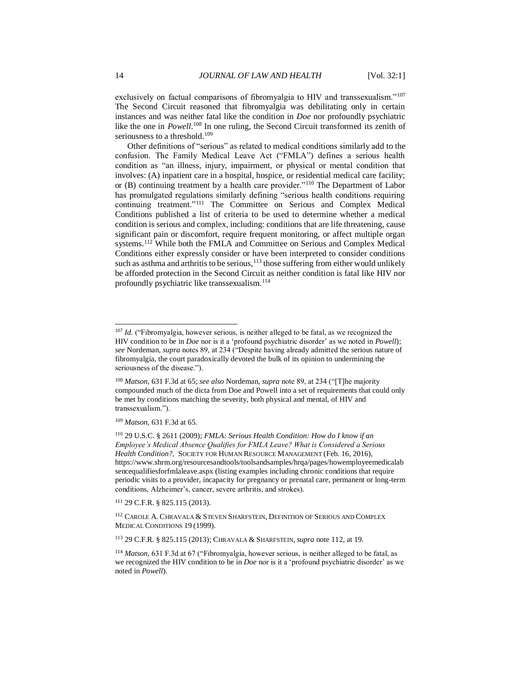exclusively on factual comparisons of fibromyalgia to HIV and transsexualism."<sup>107</sup> The Second Circuit reasoned that fibromyalgia was debilitating only in certain instances and was neither fatal like the condition in *Doe* nor profoundly psychiatric like the one in *Powell*.<sup>108</sup> In one ruling, the Second Circuit transformed its zenith of seriousness to a threshold.<sup>109</sup>

Other definitions of "serious" as related to medical conditions similarly add to the confusion. The Family Medical Leave Act ("FMLA") defines a serious health condition as "an illness, injury, impairment, or physical or mental condition that involves: (A) inpatient care in a hospital, hospice, or residential medical care facility; or (B) continuing treatment by a health care provider."<sup>110</sup> The Department of Labor has promulgated regulations similarly defining "serious health conditions requiring continuing treatment."<sup>111</sup> The Committee on Serious and Complex Medical Conditions published a list of criteria to be used to determine whether a medical condition is serious and complex, including: conditions that are life threatening, cause significant pain or discomfort, require frequent monitoring, or affect multiple organ systems.<sup>112</sup> While both the FMLA and Committee on Serious and Complex Medical Conditions either expressly consider or have been interpreted to consider conditions such as asthma and arthritis to be serious, $113$  those suffering from either would unlikely be afforded protection in the Second Circuit as neither condition is fatal like HIV nor profoundly psychiatric like transsexualism.<sup>114</sup>

<sup>109</sup> *Matson,* 631 F.3d at 65.

<sup>111</sup> 29 C.F.R. § 825.115 (2013).

<sup>112</sup> CAROLE A. CHRAVALA & STEVEN SHARFSTEIN, DEFINITION OF SERIOUS AND COMPLEX MEDICAL CONDITIONS 19 (1999).

<sup>113</sup> 29 C.F.R. § 825.115 (2013); CHRAVALA & SHARFSTEIN,*supra* not[e 112,](#page-14-0) at 19.

<sup>114</sup> *Matson,* 631 F.3d at 67 ("Fibromyalgia, however serious, is neither alleged to be fatal, as we recognized the HIV condition to be in *Doe* nor is it a 'profound psychiatric disorder' as we noted in *Powell*).

<span id="page-14-0"></span><sup>&</sup>lt;sup>107</sup> *Id.* ("Fibromyalgia, however serious, is neither alleged to be fatal, as we recognized the HIV condition to be in *Doe* nor is it a 'profound psychiatric disorder' as we noted in *Powell*); *see* Nordeman, *supra* notes 89, at 234 ("Despite having already admitted the serious nature of fibromyalgia, the court paradoxically devoted the bulk of its opinion to undermining the seriousness of the disease.").

<sup>108</sup> *Matson,* 631 F.3d at 65; *see also* Nordeman, *supra* note 89, at 234 ("[T]he majority compounded much of the dicta from Doe and Powell into a set of requirements that could only be met by conditions matching the severity, both physical and mental, of HIV and transsexualism.").

<sup>110</sup> 29 U.S.C. § 2611 (2009); *FMLA: Serious Health Condition: How do I know if an Employee's Medical Absence Qualifies for FMLA Leave? What is Considered a Serious Health Condition?,* SOCIETY FOR HUMAN RESOURCE MANAGEMENT (Feb. 16, 2016), https://www.shrm.org/resourcesandtools/toolsandsamples/hrqa/pages/howemployeemedicalab sencequalifiesforfmlaleave.aspx (listing examples including chronic conditions that require periodic visits to a provider, incapacity for pregnancy or prenatal care, permanent or long-term conditions, Alzheimer's, cancer, severe arthritis, and strokes).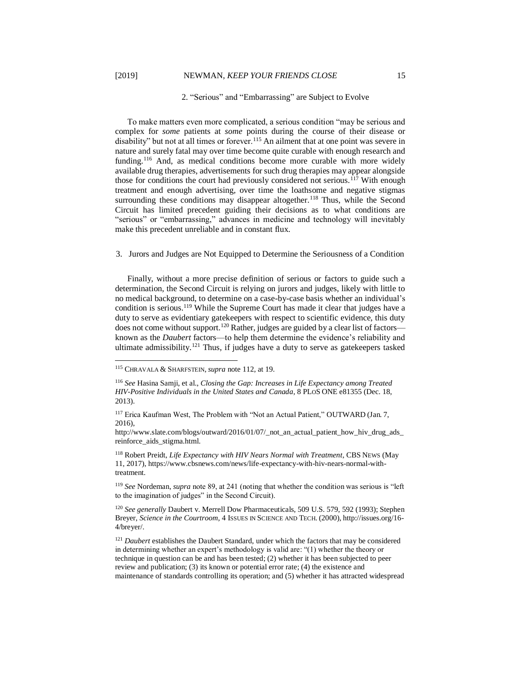l

#### 2. "Serious" and "Embarrassing" are Subject to Evolve

To make matters even more complicated, a serious condition "may be serious and complex for *some* patients at *some* points during the course of their disease or disability" but not at all times or forever.<sup>115</sup> An ailment that at one point was severe in nature and surely fatal may over time become quite curable with enough research and funding.<sup>116</sup> And, as medical conditions become more curable with more widely available drug therapies, advertisements for such drug therapies may appear alongside those for conditions the court had previously considered not serious.<sup>117</sup> With enough treatment and enough advertising, over time the loathsome and negative stigmas surrounding these conditions may disappear altogether.<sup>118</sup> Thus, while the Second Circuit has limited precedent guiding their decisions as to what conditions are "serious" or "embarrassing," advances in medicine and technology will inevitably make this precedent unreliable and in constant flux.

#### 3. Jurors and Judges are Not Equipped to Determine the Seriousness of a Condition

Finally, without a more precise definition of serious or factors to guide such a determination, the Second Circuit is relying on jurors and judges, likely with little to no medical background, to determine on a case-by-case basis whether an individual's condition is serious.<sup>119</sup> While the Supreme Court has made it clear that judges have a duty to serve as evidentiary gatekeepers with respect to scientific evidence, this duty does not come without support.<sup>120</sup> Rather, judges are guided by a clear list of factors known as the *Daubert* factors—to help them determine the evidence's reliability and ultimate admissibility.<sup>121</sup> Thus, if judges have a duty to serve as gatekeepers tasked

<sup>115</sup> CHRAVALA & SHARFSTEIN,*supra* note [112,](#page-14-0) at 19.

<sup>116</sup> *See* Hasina Samji, et al., *Closing the Gap: Increases in Life Expectancy among Treated HIV-Positive Individuals in the United States and Canada*, 8 PLOS ONE e81355 (Dec. 18, 2013).

<sup>&</sup>lt;sup>117</sup> Erica Kaufman West, The Problem with "Not an Actual Patient," OUTWARD (Jan. 7, 2016),

http://www.slate.com/blogs/outward/2016/01/07/\_not\_an\_actual\_patient\_how\_hiv\_drug\_ads\_ reinforce\_aids\_stigma.html.

<sup>118</sup> Robert Preidt, *Life Expectancy with HIV Nears Normal with Treatment*, CBS NEWS (May 11, 2017), https://www.cbsnews.com/news/life-expectancy-with-hiv-nears-normal-withtreatment.

<sup>119</sup> *See* Nordeman, *supra* note 89, at 241 (noting that whether the condition was serious is "left to the imagination of judges" in the Second Circuit).

<sup>120</sup> *See generally* Daubert v. Merrell Dow Pharmaceuticals, 509 U.S. 579, 592 (1993); Stephen Breyer, *Science in the Courtroom*, 4 ISSUES IN SCIENCE AND TECH. (2000), http://issues.org/16- 4/breyer/.

<sup>&</sup>lt;sup>121</sup> *Daubert* establishes the Daubert Standard, under which the factors that may be considered in determining whether an expert's methodology is valid are: "(1) whether the theory or technique in question can be and has been tested; (2) whether it has been subjected to peer review and publication; (3) its known or potential error rate; (4) the existence and maintenance of standards controlling its operation; and (5) whether it has attracted widespread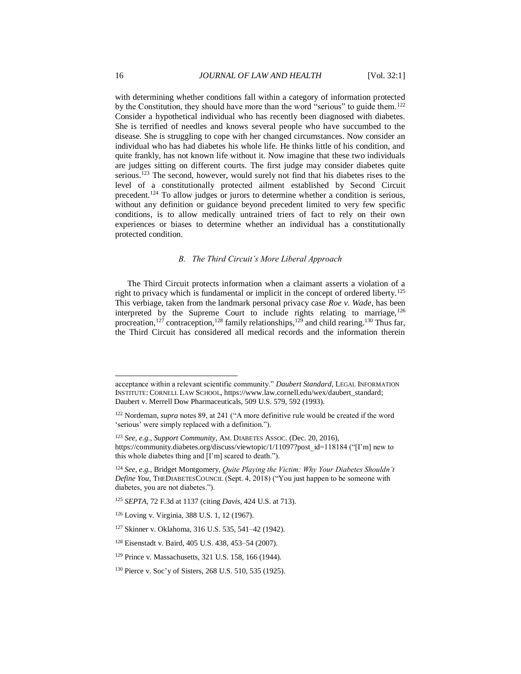with determining whether conditions fall within a category of information protected by the Constitution, they should have more than the word "serious" to guide them.<sup>122</sup> Consider a hypothetical individual who has recently been diagnosed with diabetes. She is terrified of needles and knows several people who have succumbed to the disease. She is struggling to cope with her changed circumstances. Now consider an individual who has had diabetes his whole life. He thinks little of his condition, and quite frankly, has not known life without it. Now imagine that these two individuals are judges sitting on different courts. The first judge may consider diabetes quite serious.<sup>123</sup> The second, however, would surely not find that his diabetes rises to the level of a constitutionally protected ailment established by Second Circuit precedent.<sup>124</sup> To allow judges or jurors to determine whether a condition is serious, without any definition or guidance beyond precedent limited to very few specific conditions, is to allow medically untrained triers of fact to rely on their own experiences or biases to determine whether an individual has a constitutionally protected condition.

#### *B. The Third Circuit's More Liberal Approach*

The Third Circuit protects information when a claimant asserts a violation of a right to privacy which is fundamental or implicit in the concept of ordered liberty.<sup>125</sup> This verbiage, taken from the landmark personal privacy case *Roe v. Wade*, has been interpreted by the Supreme Court to include rights relating to marriage,  $^{126}$ procreation,<sup>127</sup> contraception,<sup>128</sup> family relationships,<sup>129</sup> and child rearing.<sup>130</sup> Thus far, the Third Circuit has considered all medical records and the information therein

acceptance within a relevant scientific community." *Daubert Standard*, LEGAL INFORMATION INSTITUTE:CORNELL LAW SCHOOL, https://www.law.cornell.edu/wex/daubert\_standard; Daubert v. Merrell Dow Pharmaceuticals, 509 U.S. 579, 592 (1993).

<sup>&</sup>lt;sup>122</sup> Nordeman, *supra* notes 89, at 241 ("A more definitive rule would be created if the word 'serious' were simply replaced with a definition.").

<sup>123</sup> *See, e.g.*, *Support Community*, AM. DIABETES ASSOC. (Dec. 20, 2016), https://community.diabetes.org/discuss/viewtopic/1/11097?post\_id=118184 ("[I'm] new to this whole diabetes thing and [I'm] scared to death.").

<sup>124</sup> *See, e.g.*, Bridget Montgomery, *Quite Playing the Victim: Why Your Diabetes Shouldn't Define You*, THEDIABETESCOUNCIL (Sept. 4, 2018) ("You just happen to be someone with diabetes, you are not diabetes.").

<sup>125</sup> *SEPTA*, 72 F.3d at 1137 (citing *Davis*, 424 U.S. at 713).

<sup>126</sup> Loving v. Virginia, 388 U.S. 1, 12 (1967).

<sup>127</sup> Skinner v. Oklahoma, 316 U.S. 535, 541–42 (1942).

<sup>128</sup> Eisenstadt v. Baird, 405 U.S. 438, 453–54 (2007).

<sup>129</sup> Prince v. Massachusetts, 321 U.S. 158, 166 (1944).

<sup>130</sup> Pierce v. Soc'y of Sisters, 268 U.S. 510, 535 (1925).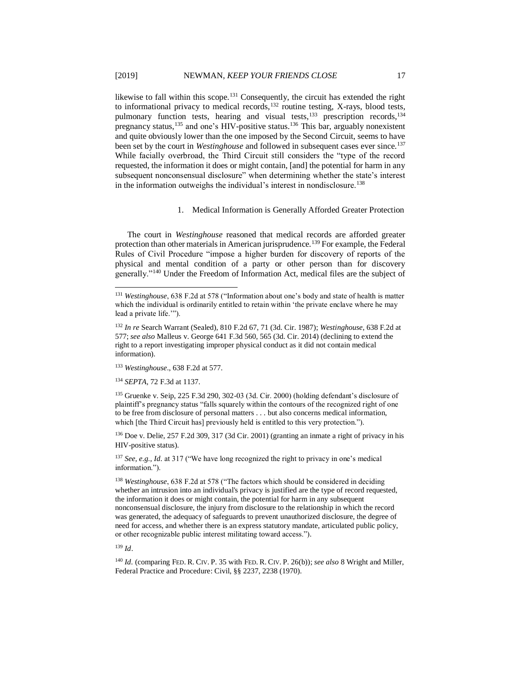likewise to fall within this scope.<sup>131</sup> Consequently, the circuit has extended the right to informational privacy to medical records,<sup>132</sup> routine testing, X-rays, blood tests, pulmonary function tests, hearing and visual tests,<sup>133</sup> prescription records,<sup>134</sup> pregnancy status,<sup>135</sup> and one's HIV-positive status.<sup>136</sup> This bar, arguably nonexistent and quite obviously lower than the one imposed by the Second Circuit, seems to have been set by the court in *Westinghouse* and followed in subsequent cases ever since.<sup>137</sup> While facially overbroad, the Third Circuit still considers the "type of the record requested, the information it does or might contain, [and] the potential for harm in any subsequent nonconsensual disclosure" when determining whether the state's interest in the information outweighs the individual's interest in nondisclosure.<sup>138</sup>

1. Medical Information is Generally Afforded Greater Protection

The court in *Westinghouse* reasoned that medical records are afforded greater protection than other materials in American jurisprudence.<sup>139</sup> For example, the Federal Rules of Civil Procedure "impose a higher burden for discovery of reports of the physical and mental condition of a party or other person than for discovery generally."<sup>140</sup> Under the Freedom of Information Act, medical files are the subject of

<sup>133</sup> *Westinghouse*., 638 F.2d at 577.

<sup>134</sup> *SEPTA*, 72 F.3d at 1137.

<sup>135</sup> Gruenke v. Seip, 225 F.3d 290, 302-03 (3d. Cir. 2000) (holding defendant's disclosure of plaintiff's pregnancy status "falls squarely within the contours of the recognized right of one to be free from disclosure of personal matters . . . but also concerns medical information, which [the Third Circuit has] previously held is entitled to this very protection.").

<sup>136</sup> Doe v. Delie, 257 F.2d 309, 317 (3d Cir. 2001) (granting an inmate a right of privacy in his HIV-positive status).

<sup>137</sup> *See, e.g., Id.* at 317 ("We have long recognized the right to privacy in one's medical information.").

<sup>138</sup> *Westinghouse*, 638 F.2d at 578 ("The factors which should be considered in deciding whether an intrusion into an individual's privacy is justified are the type of record requested, the information it does or might contain, the potential for harm in any subsequent nonconsensual disclosure, the injury from disclosure to the relationship in which the record was generated, the adequacy of safeguards to prevent unauthorized disclosure, the degree of need for access, and whether there is an express statutory mandate, articulated public policy, or other recognizable public interest militating toward access.").

<sup>139</sup> *Id*.

l

<sup>140</sup> *Id.* (comparing FED. R. CIV. P. 35 with FED. R. CIV. P. 26(b)); *see also* 8 Wright and Miller, Federal Practice and Procedure: Civil, §§ 2237, 2238 (1970).

<sup>131</sup> *Westinghouse*, 638 F.2d at 578 ("Information about one's body and state of health is matter which the individual is ordinarily entitled to retain within 'the private enclave where he may lead a private life.'").

<sup>132</sup> *In re* Search Warrant (Sealed), 810 F.2d 67, 71 (3d. Cir. 1987); *Westinghouse*, 638 F.2d at 577; *see also* Malleus v. George 641 F.3d 560, 565 (3d. Cir. 2014) (declining to extend the right to a report investigating improper physical conduct as it did not contain medical information).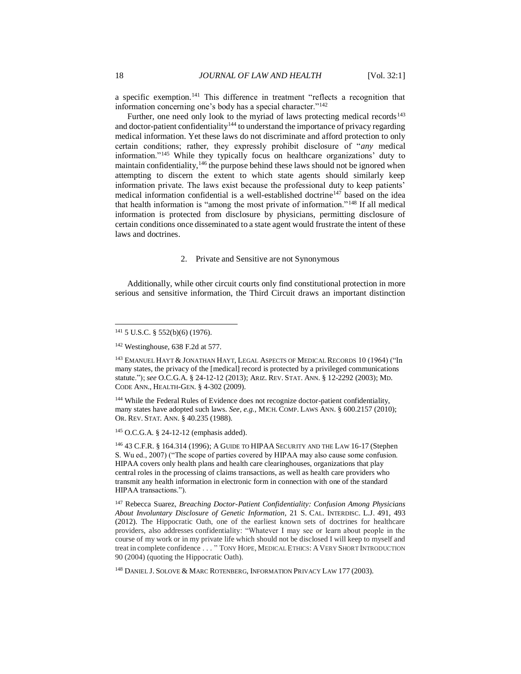a specific exemption.<sup>141</sup> This difference in treatment "reflects a recognition that information concerning one's body has a special character."<sup>142</sup>

<span id="page-18-0"></span>Further, one need only look to the myriad of laws protecting medical records<sup>143</sup> and doctor-patient confidentiality<sup>144</sup> to understand the importance of privacy regarding medical information. Yet these laws do not discriminate and afford protection to only certain conditions; rather, they expressly prohibit disclosure of "*any* medical information."<sup>145</sup> While they typically focus on healthcare organizations' duty to maintain confidentiality,<sup>146</sup> the purpose behind these laws should not be ignored when attempting to discern the extent to which state agents should similarly keep information private. The laws exist because the professional duty to keep patients' medical information confidential is a well-established doctrine<sup>147</sup> based on the idea that health information is "among the most private of information."<sup>148</sup> If all medical information is protected from disclosure by physicians, permitting disclosure of certain conditions once disseminated to a state agent would frustrate the intent of these laws and doctrines.

#### 2. Private and Sensitive are not Synonymous

Additionally, while other circuit courts only find constitutional protection in more serious and sensitive information, the Third Circuit draws an important distinction

l

<sup>143</sup> EMANUEL HAYT & JONATHAN HAYT, LEGAL ASPECTS OF MEDICAL RECORDS 10 (1964) ("In many states, the privacy of the [medical] record is protected by a privileged communications statute."); *see* O.C.G.A. § 24-12-12 (2013); ARIZ. REV. STAT. ANN. § 12-2292 (2003); MD. CODE ANN., HEALTH-GEN. § 4-302 (2009).

<sup>144</sup> While the Federal Rules of Evidence does not recognize doctor-patient confidentiality, many states have adopted such laws. *See, e.g.,* MICH. COMP. LAWS ANN. § 600.2157 (2010); OR. REV. STAT. ANN. § 40.235 (1988).

<sup>145</sup> O.C.G.A. § 24-12-12 (emphasis added).

<sup>146</sup> 43 C.F.R. § 164.314 (1996); A GUIDE TO HIPAA SECURITY AND THE LAW 16-17 (Stephen S. Wu ed., 2007) ("The scope of parties covered by HIPAA may also cause some confusion. HIPAA covers only health plans and health care clearinghouses, organizations that play central roles in the processing of claims transactions, as well as health care providers who transmit any health information in electronic form in connection with one of the standard HIPAA transactions.").

<sup>147</sup> Rebecca Suarez, *Breaching Doctor-Patient Confidentiality: Confusion Among Physicians About Involuntary Disclosure of Genetic Information*, 21 S. CAL. INTERDISC. L.J. 491, 493 (2012). The Hippocratic Oath, one of the earliest known sets of doctrines for healthcare providers, also addresses confidentiality: "Whatever I may see or learn about people in the course of my work or in my private life which should not be disclosed I will keep to myself and treat in complete confidence . . . " TONY HOPE, MEDICAL ETHICS: AVERY SHORT INTRODUCTION 90 (2004) (quoting the Hippocratic Oath).

<sup>148</sup> DANIEL J. SOLOVE & MARC ROTENBERG, INFORMATION PRIVACY LAW 177 (2003).

<sup>141</sup> 5 U.S.C. § 552(b)(6) (1976).

<sup>142</sup> Westinghouse, 638 F.2d at 577.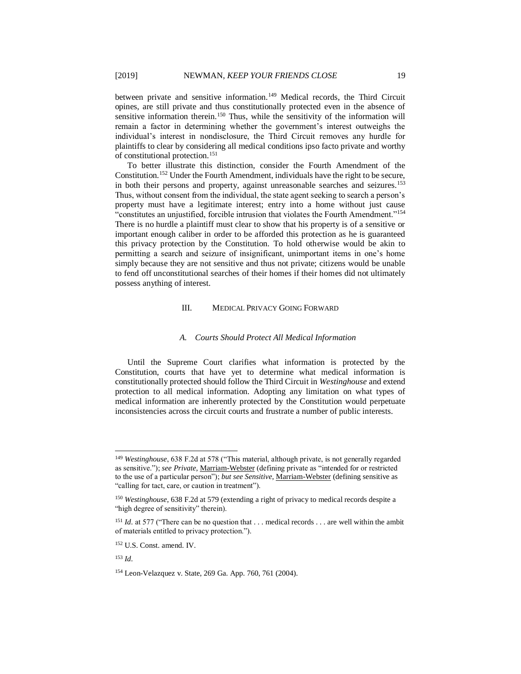between private and sensitive information.<sup>149</sup> Medical records, the Third Circuit opines, are still private and thus constitutionally protected even in the absence of sensitive information therein.<sup>150</sup> Thus, while the sensitivity of the information will remain a factor in determining whether the government's interest outweighs the individual's interest in nondisclosure, the Third Circuit removes any hurdle for plaintiffs to clear by considering all medical conditions ipso facto private and worthy of constitutional protection.<sup>151</sup>

To better illustrate this distinction, consider the Fourth Amendment of the Constitution.<sup>152</sup> Under the Fourth Amendment, individuals have the right to be secure, in both their persons and property, against unreasonable searches and seizures.<sup>153</sup> Thus, without consent from the individual, the state agent seeking to search a person's property must have a legitimate interest; entry into a home without just cause "constitutes an unjustified, forcible intrusion that violates the Fourth Amendment."<sup>154</sup> There is no hurdle a plaintiff must clear to show that his property is of a sensitive or important enough caliber in order to be afforded this protection as he is guaranteed this privacy protection by the Constitution. To hold otherwise would be akin to permitting a search and seizure of insignificant, unimportant items in one's home simply because they are not sensitive and thus not private; citizens would be unable to fend off unconstitutional searches of their homes if their homes did not ultimately possess anything of interest.

#### III. MEDICAL PRIVACY GOING FORWARD

#### *A. Courts Should Protect All Medical Information*

Until the Supreme Court clarifies what information is protected by the Constitution, courts that have yet to determine what medical information is constitutionally protected should follow the Third Circuit in *Westinghouse* and extend protection to all medical information. Adopting any limitation on what types of medical information are inherently protected by the Constitution would perpetuate inconsistencies across the circuit courts and frustrate a number of public interests.

<sup>149</sup> *Westinghouse*, 638 F.2d at 578 ("This material, although private, is not generally regarded as sensitive."); *see Private*, Marriam-Webster (defining private as "intended for or restricted to the use of a particular person"); *but see Sensitive*, Marriam-Webster (defining sensitive as "calling for tact, care, or caution in treatment").

<sup>150</sup> *Westinghouse*, 638 F.2d at 579 (extending a right of privacy to medical records despite a "high degree of sensitivity" therein).

<sup>&</sup>lt;sup>151</sup> *Id.* at 577 ("There can be no question that . . . medical records . . . are well within the ambit of materials entitled to privacy protection.").

<sup>152</sup> U.S. Const. amend. IV.

<sup>153</sup> *Id.*

<sup>154</sup> Leon-Velazquez v. State, 269 Ga. App. 760, 761 (2004).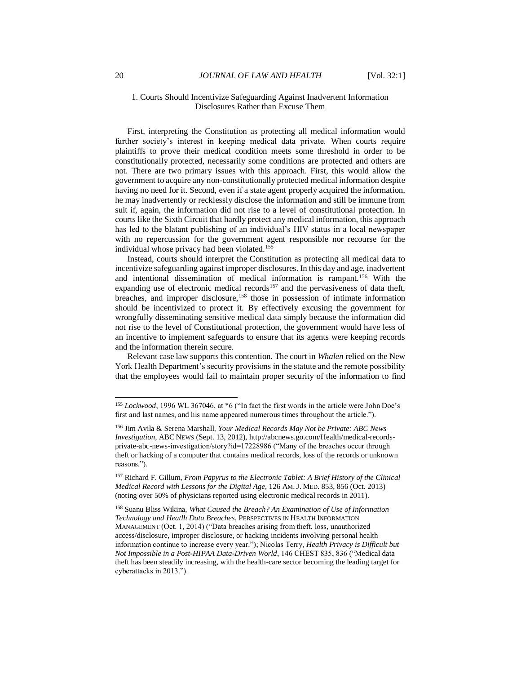#### 1. Courts Should Incentivize Safeguarding Against Inadvertent Information Disclosures Rather than Excuse Them

First, interpreting the Constitution as protecting all medical information would further society's interest in keeping medical data private. When courts require plaintiffs to prove their medical condition meets some threshold in order to be constitutionally protected, necessarily some conditions are protected and others are not. There are two primary issues with this approach. First, this would allow the government to acquire any non-constitutionally protected medical information despite having no need for it. Second, even if a state agent properly acquired the information, he may inadvertently or recklessly disclose the information and still be immune from suit if, again, the information did not rise to a level of constitutional protection. In courts like the Sixth Circuit that hardly protect any medical information, this approach has led to the blatant publishing of an individual's HIV status in a local newspaper with no repercussion for the government agent responsible nor recourse for the individual whose privacy had been violated.<sup>155</sup>

<span id="page-20-0"></span>Instead, courts should interpret the Constitution as protecting all medical data to incentivize safeguarding against improper disclosures. In this day and age, inadvertent and intentional dissemination of medical information is rampant.<sup>156</sup> With the expanding use of electronic medical records<sup>157</sup> and the pervasiveness of data theft, breaches, and improper disclosure, <sup>158</sup> those in possession of intimate information should be incentivized to protect it. By effectively excusing the government for wrongfully disseminating sensitive medical data simply because the information did not rise to the level of Constitutional protection, the government would have less of an incentive to implement safeguards to ensure that its agents were keeping records and the information therein secure.

Relevant case law supports this contention. The court in *Whalen* relied on the New York Health Department's security provisions in the statute and the remote possibility that the employees would fail to maintain proper security of the information to find

<sup>155</sup> *Lockwood*, 1996 WL 367046, at \*6 ("In fact the first words in the article were John Doe's first and last names, and his name appeared numerous times throughout the article.").

<sup>156</sup> Jim Avila & Serena Marshall, *Your Medical Records May Not be Private: ABC News Investigation*, ABC NEWS (Sept. 13, 2012), http://abcnews.go.com/Health/medical-recordsprivate-abc-news-investigation/story?id=17228986 ("Many of the breaches occur through theft or hacking of a computer that contains medical records, loss of the records or unknown reasons.").

<sup>157</sup> Richard F. Gillum, *From Papyrus to the Electronic Tablet: A Brief History of the Clinical Medical Record with Lessons for the Digital Age*, 126 AM.J. MED. 853, 856 (Oct. 2013) (noting over 50% of physicians reported using electronic medical records in 2011).

<sup>158</sup> Suanu Bliss Wikina, *What Caused the Breach? An Examination of Use of Information Technology and Heatlh Data Breaches*, PERSPECTIVES IN HEALTH INFORMATION MANAGEMENT (Oct. 1, 2014) ("Data breaches arising from theft, loss, unauthorized access/disclosure, improper disclosure, or hacking incidents involving personal health information continue to increase every year."); Nicolas Terry, *Health Privacy is Difficult but Not Impossible in a Post-HIPAA Data-Driven World*, 146 CHEST 835, 836 ("Medical data theft has been steadily increasing, with the health-care sector becoming the leading target for cyberattacks in 2013.").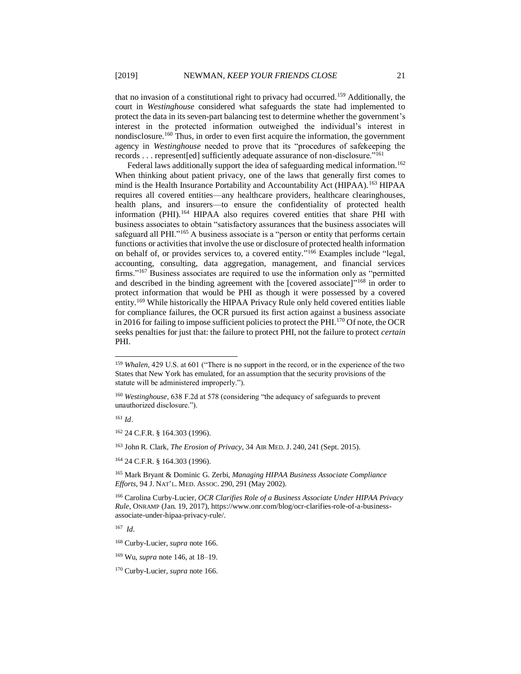that no invasion of a constitutional right to privacy had occurred.<sup>159</sup> Additionally, the court in *Westinghouse* considered what safeguards the state had implemented to protect the data in its seven-part balancing test to determine whether the government's interest in the protected information outweighed the individual's interest in nondisclosure.<sup>160</sup> Thus, in order to even first acquire the information, the government agency in *Westinghouse* needed to prove that its "procedures of safekeeping the records . . . represent[ed] sufficiently adequate assurance of non-disclosure."<sup>161</sup>

Federal laws additionally support the idea of safeguarding medical information.<sup>162</sup> When thinking about patient privacy, one of the laws that generally first comes to mind is the Health Insurance Portability and Accountability Act (HIPAA).<sup>163</sup> HIPAA requires all covered entities—any healthcare providers, healthcare clearinghouses, health plans, and insurers—to ensure the confidentiality of protected health information (PHI).<sup>164</sup> HIPAA also requires covered entities that share PHI with business associates to obtain "satisfactory assurances that the business associates will safeguard all PHI."<sup>165</sup> A business associate is a "person or entity that performs certain functions or activities that involve the use or disclosure of protected health information on behalf of, or provides services to, a covered entity." <sup>166</sup> Examples include "legal, accounting, consulting, data aggregation, management, and financial services firms."<sup>167</sup> Business associates are required to use the information only as "permitted and described in the binding agreement with the [covered associate]"<sup>168</sup> in order to protect information that would be PHI as though it were possessed by a covered entity.<sup>169</sup> While historically the HIPAA Privacy Rule only held covered entities liable for compliance failures, the OCR pursued its first action against a business associate in 2016 for failing to impose sufficient policies to protect the PHI.<sup>170</sup> Of note, the OCR seeks penalties for just that: the failure to protect PHI, not the failure to protect *certain* PHI.

<sup>161</sup> *Id*.

l

<sup>162</sup> 24 C.F.R. § 164.303 (1996).

<sup>163</sup> John R. Clark, *The Erosion of Privacy*, 34 AIR MED.J. 240, 241 (Sept. 2015).

<sup>164</sup> 24 C.F.R. § 164.303 (1996).

<sup>165</sup> Mark Bryant & Dominic G. Zerbi, *Managing HIPAA Business Associate Compliance Efforts*, 94 J. NAT'L. MED. ASSOC. 290, 291 (May 2002).

<sup>166</sup> Carolina Curby-Lucier, *OCR Clarifies Role of a Business Associate Under HIPAA Privacy Rule*, ONRAMP (Jan. 19, 2017), https://www.onr.com/blog/ocr-clarifies-role-of-a-businessassociate-under-hipaa-privacy-rule/.

167 *Id.*

<sup>&</sup>lt;sup>159</sup> *Whalen*, 429 U.S. at 601 ("There is no support in the record, or in the experience of the two States that New York has emulated, for an assumption that the security provisions of the statute will be administered improperly.").

<sup>&</sup>lt;sup>160</sup> Westinghouse, 638 F.2d at 578 (considering "the adequacy of safeguards to prevent unauthorized disclosure.").

<sup>168</sup> Curby-Lucier, *supra* note 166.

<sup>169</sup> Wu, *supra* not[e 146,](#page-18-0) at 18–19.

<sup>170</sup> Curby-Lucier, *supra* note 166.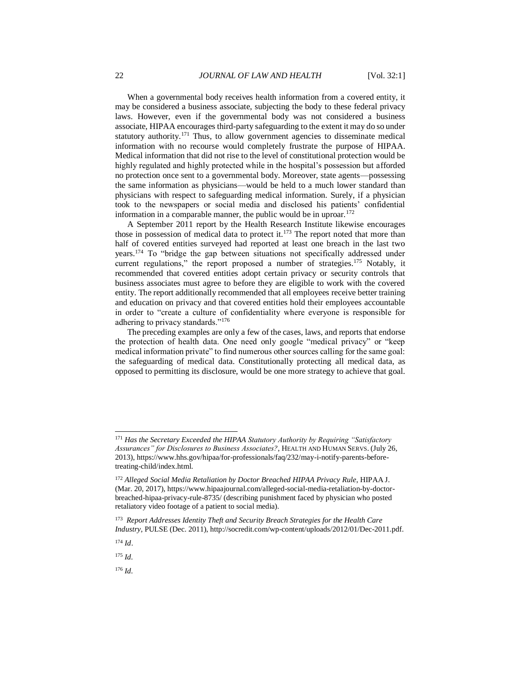When a governmental body receives health information from a covered entity, it may be considered a business associate, subjecting the body to these federal privacy laws. However, even if the governmental body was not considered a business associate, HIPAA encourages third-party safeguarding to the extent it may do so under statutory authority.<sup>171</sup> Thus, to allow government agencies to disseminate medical information with no recourse would completely frustrate the purpose of HIPAA. Medical information that did not rise to the level of constitutional protection would be highly regulated and highly protected while in the hospital's possession but afforded no protection once sent to a governmental body. Moreover, state agents—possessing the same information as physicians—would be held to a much lower standard than physicians with respect to safeguarding medical information. Surely, if a physician took to the newspapers or social media and disclosed his patients' confidential information in a comparable manner, the public would be in uproar. $172$ 

A September 2011 report by the Health Research Institute likewise encourages those in possession of medical data to protect it.<sup>173</sup> The report noted that more than half of covered entities surveyed had reported at least one breach in the last two years.<sup>174</sup> To "bridge the gap between situations not specifically addressed under current regulations," the report proposed a number of strategies.<sup>175</sup> Notably, it recommended that covered entities adopt certain privacy or security controls that business associates must agree to before they are eligible to work with the covered entity. The report additionally recommended that all employees receive better training and education on privacy and that covered entities hold their employees accountable in order to "create a culture of confidentiality where everyone is responsible for adhering to privacy standards."<sup>176</sup>

The preceding examples are only a few of the cases, laws, and reports that endorse the protection of health data. One need only google "medical privacy" or "keep medical information private" to find numerous other sources calling for the same goal: the safeguarding of medical data. Constitutionally protecting all medical data, as opposed to permitting its disclosure, would be one more strategy to achieve that goal.

l

<sup>175</sup> *Id.*

<sup>176</sup> *Id.*

<sup>171</sup> *Has the Secretary Exceeded the HIPAA Statutory Authority by Requiring "Satisfactory Assurances" for Disclosures to Business Associates?*, HEALTH AND HUMAN SERVS. (July 26, 2013), https://www.hhs.gov/hipaa/for-professionals/faq/232/may-i-notify-parents-beforetreating-child/index.html.

<sup>&</sup>lt;sup>172</sup> Alleged Social Media Retaliation by Doctor Breached HIPAA Privacy Rule, HIPAA J. (Mar. 20, 2017), https://www.hipaajournal.com/alleged-social-media-retaliation-by-doctorbreached-hipaa-privacy-rule-8735/ (describing punishment faced by physician who posted retaliatory video footage of a patient to social media).

<sup>173</sup> *Report Addresses Identity Theft and Security Breach Strategies for the Health Care Industry*, PULSE (Dec. 2011), http://socredit.com/wp-content/uploads/2012/01/Dec-2011.pdf.

<sup>174</sup> *Id*.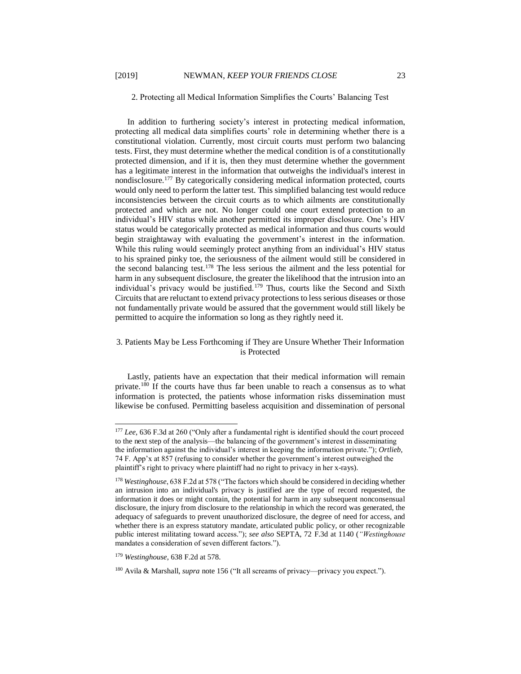2. Protecting all Medical Information Simplifies the Courts' Balancing Test

In addition to furthering society's interest in protecting medical information, protecting all medical data simplifies courts' role in determining whether there is a constitutional violation. Currently, most circuit courts must perform two balancing tests. First, they must determine whether the medical condition is of a constitutionally protected dimension, and if it is, then they must determine whether the government has a legitimate interest in the information that outweighs the individual's interest in nondisclosure.<sup>177</sup> By categorically considering medical information protected, courts would only need to perform the latter test. This simplified balancing test would reduce inconsistencies between the circuit courts as to which ailments are constitutionally protected and which are not. No longer could one court extend protection to an individual's HIV status while another permitted its improper disclosure. One's HIV status would be categorically protected as medical information and thus courts would begin straightaway with evaluating the government's interest in the information. While this ruling would seemingly protect anything from an individual's HIV status to his sprained pinky toe, the seriousness of the ailment would still be considered in the second balancing test.<sup>178</sup> The less serious the ailment and the less potential for harm in any subsequent disclosure, the greater the likelihood that the intrusion into an individual's privacy would be justified.<sup>179</sup> Thus, courts like the Second and Sixth Circuits that are reluctant to extend privacy protections to less serious diseases or those not fundamentally private would be assured that the government would still likely be permitted to acquire the information so long as they rightly need it.

#### 3. Patients May be Less Forthcoming if They are Unsure Whether Their Information is Protected

Lastly, patients have an expectation that their medical information will remain private.<sup>180</sup> If the courts have thus far been unable to reach a consensus as to what information is protected, the patients whose information risks dissemination must likewise be confused. Permitting baseless acquisition and dissemination of personal

<sup>&</sup>lt;sup>177</sup> *Lee*, 636 F.3d at 260 ("Only after a fundamental right is identified should the court proceed to the next step of the analysis—the balancing of the government's interest in disseminating the information against the individual's interest in keeping the information private."); *Ortlieb*, 74 F. App'x at 857 (refusing to consider whether the government's interest outweighed the plaintiff's right to privacy where plaintiff had no right to privacy in her x-rays).

<sup>178</sup> *Westinghouse*, 638 F.2d at 578 ("The factors which should be considered in deciding whether an intrusion into an individual's privacy is justified are the type of record requested, the information it does or might contain, the potential for harm in any subsequent nonconsensual disclosure, the injury from disclosure to the relationship in which the record was generated, the adequacy of safeguards to prevent unauthorized disclosure, the degree of need for access, and whether there is an express statutory mandate, articulated public policy, or other recognizable public interest militating toward access."); *see also* SEPTA, 72 F.3d at 1140 (*"Westinghouse* mandates a consideration of seven different factors.").

<sup>179</sup> *Westinghouse*, 638 F.2d at 578.

<sup>180</sup> Avila & Marshall, *supra* note [156](#page-20-0) ("It all screams of privacy—privacy you expect.").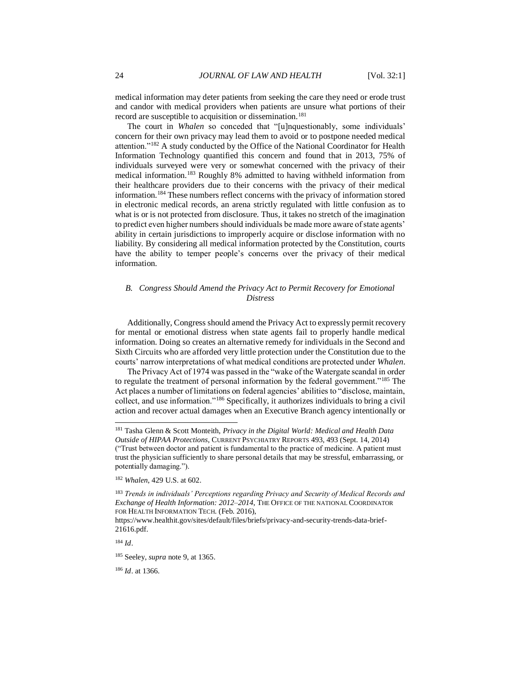medical information may deter patients from seeking the care they need or erode trust and candor with medical providers when patients are unsure what portions of their record are susceptible to acquisition or dissemination.<sup>181</sup>

The court in *Whalen* so conceded that "[u]nquestionably, some individuals' concern for their own privacy may lead them to avoid or to postpone needed medical attention."<sup>182</sup> A study conducted by the Office of the National Coordinator for Health Information Technology quantified this concern and found that in 2013, 75% of individuals surveyed were very or somewhat concerned with the privacy of their medical information.<sup>183</sup> Roughly 8% admitted to having withheld information from their healthcare providers due to their concerns with the privacy of their medical information.<sup>184</sup> These numbers reflect concerns with the privacy of information stored in electronic medical records, an arena strictly regulated with little confusion as to what is or is not protected from disclosure. Thus, it takes no stretch of the imagination to predict even higher numbers should individuals be made more aware of state agents' ability in certain jurisdictions to improperly acquire or disclose information with no liability. By considering all medical information protected by the Constitution, courts have the ability to temper people's concerns over the privacy of their medical information.

#### *B. Congress Should Amend the Privacy Act to Permit Recovery for Emotional Distress*

Additionally, Congress should amend the Privacy Act to expressly permit recovery for mental or emotional distress when state agents fail to properly handle medical information. Doing so creates an alternative remedy for individuals in the Second and Sixth Circuits who are afforded very little protection under the Constitution due to the courts' narrow interpretations of what medical conditions are protected under *Whalen*.

The Privacy Act of 1974 was passed in the "wake of the Watergate scandal in order to regulate the treatment of personal information by the federal government."<sup>185</sup> The Act places a number of limitations on federal agencies' abilities to "disclose, maintain, collect, and use information."<sup>186</sup> Specifically, it authorizes individuals to bring a civil action and recover actual damages when an Executive Branch agency intentionally or

<sup>184</sup> *Id*.

l

<sup>186</sup> *Id*. at 1366.

<sup>181</sup> Tasha Glenn & Scott Monteith, *Privacy in the Digital World: Medical and Health Data Outside of HIPAA Protections*, CURRENT PSYCHIATRY REPORTS 493, 493 (Sept. 14, 2014) ("Trust between doctor and patient is fundamental to the practice of medicine. A patient must trust the physician sufficiently to share personal details that may be stressful, embarrassing, or potentially damaging.").

<sup>182</sup> *Whalen*, 429 U.S. at 602.

<sup>183</sup> *Trends in individuals' Perceptions regarding Privacy and Security of Medical Records and Exchange of Health Information: 2012–2014*, THE OFFICE OF THE NATIONAL COORDINATOR FOR HEALTH INFORMATION TECH. (Feb. 2016),

https://www.healthit.gov/sites/default/files/briefs/privacy-and-security-trends-data-brief-21616.pdf.

<sup>185</sup> Seeley, *supra* note 9, at 1365.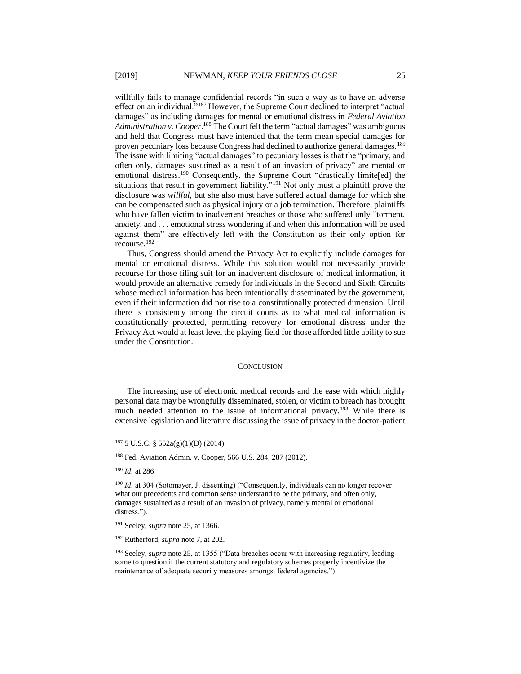willfully fails to manage confidential records "in such a way as to have an adverse effect on an individual."<sup>187</sup> However, the Supreme Court declined to interpret "actual damages" as including damages for mental or emotional distress in *Federal Aviation* Administration v. Cooper.<sup>188</sup> The Court felt the term "actual damages" was ambiguous and held that Congress must have intended that the term mean special damages for proven pecuniary loss because Congress had declined to authorize general damages.<sup>189</sup> The issue with limiting "actual damages" to pecuniary losses is that the "primary, and often only, damages sustained as a result of an invasion of privacy" are mental or emotional distress.<sup>190</sup> Consequently, the Supreme Court "drastically limite[ed] the situations that result in government liability."<sup>191</sup> Not only must a plaintiff prove the disclosure was *willful*, but she also must have suffered actual damage for which she can be compensated such as physical injury or a job termination. Therefore, plaintiffs who have fallen victim to inadvertent breaches or those who suffered only "torment, anxiety, and . . . emotional stress wondering if and when this information will be used against them" are effectively left with the Constitution as their only option for recourse.<sup>192</sup>

Thus, Congress should amend the Privacy Act to explicitly include damages for mental or emotional distress. While this solution would not necessarily provide recourse for those filing suit for an inadvertent disclosure of medical information, it would provide an alternative remedy for individuals in the Second and Sixth Circuits whose medical information has been intentionally disseminated by the government, even if their information did not rise to a constitutionally protected dimension. Until there is consistency among the circuit courts as to what medical information is constitutionally protected, permitting recovery for emotional distress under the Privacy Act would at least level the playing field for those afforded little ability to sue under the Constitution.

#### **CONCLUSION**

The increasing use of electronic medical records and the ease with which highly personal data may be wrongfully disseminated, stolen, or victim to breach has brought much needed attention to the issue of informational privacy.<sup>193</sup> While there is extensive legislation and literature discussing the issue of privacy in the doctor-patient

<sup>189</sup> *Id.* at 286.

 $187 5$  U.S.C. §  $552a(g)(1)(D)$  (2014).

<sup>188</sup> Fed. Aviation Admin. v. Cooper, 566 U.S. 284, 287 (2012).

<sup>&</sup>lt;sup>190</sup> *Id.* at 304 (Sotomayer, J. dissenting) ("Consequently, individuals can no longer recover what our precedents and common sense understand to be the primary, and often only, damages sustained as a result of an invasion of privacy, namely mental or emotional distress.").

<sup>191</sup> Seeley, *supra* note 25, at 1366.

<sup>192</sup> Rutherford, *supra* note 7, at 202.

<sup>193</sup> Seeley, *supra* note 25, at 1355 ("Data breaches occur with increasing regulatiry, leading some to question if the current statutory and regulatory schemes properly incentivize the maintenance of adequate security measures amongst federal agencies.").